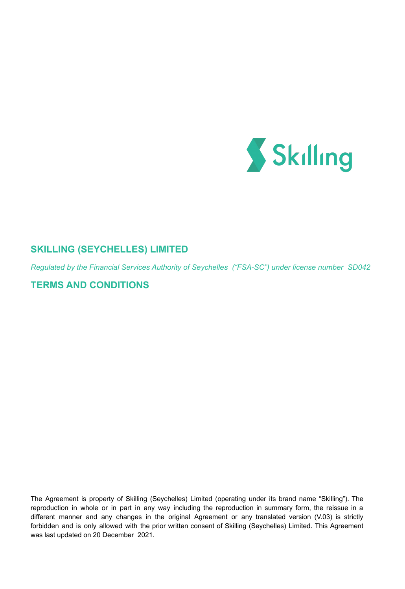

# **SKILLING (SEYCHELLES) LIMITED**

*Regulated by the Financial Services Authority of Seychelles ("FSA-SC") under license number SD042*

# **TERMS AND CONDITIONS**

The Agreement is property of Skilling (Seychelles) Limited (operating under its brand name "Skilling"). The reproduction in whole or in part in any way including the reproduction in summary form, the reissue in a different manner and any changes in the original Agreement or any translated version (V.03) is strictly forbidden and is only allowed with the prior written consent of Skilling (Seychelles) Limited. This Agreement was last updated on 20 December 2021.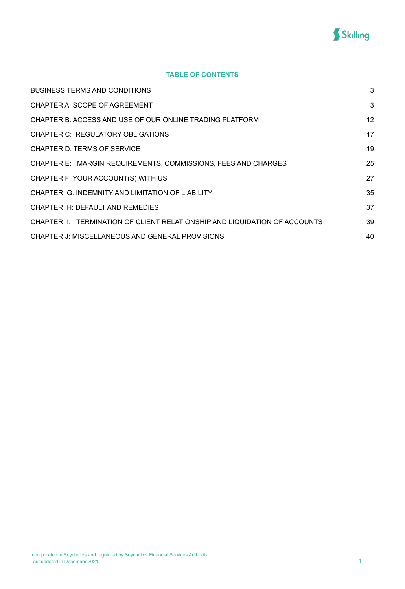

# **TABLE OF CONTENTS**

| <b>BUSINESS TERMS AND CONDITIONS</b>                                      | 3  |
|---------------------------------------------------------------------------|----|
| CHAPTER A: SCOPE OF AGREEMENT                                             | 3  |
| CHAPTER B: ACCESS AND USE OF OUR ONLINE TRADING PLATFORM                  | 12 |
| CHAPTER C: REGULATORY OBLIGATIONS                                         | 17 |
| CHAPTER D: TERMS OF SERVICE                                               | 19 |
| CHAPTER E: MARGIN REQUIREMENTS, COMMISSIONS, FEES AND CHARGES             | 25 |
| CHAPTER F: YOUR ACCOUNT(S) WITH US                                        | 27 |
| CHAPTER G: INDEMNITY AND LIMITATION OF LIABILITY                          | 35 |
| CHAPTER H: DEFAULT AND REMEDIES                                           | 37 |
| CHAPTER 1: TERMINATION OF CLIENT RELATIONSHIP AND LIQUIDATION OF ACCOUNTS | 39 |
| CHAPTER J: MISCELLANEOUS AND GENERAL PROVISIONS                           | 40 |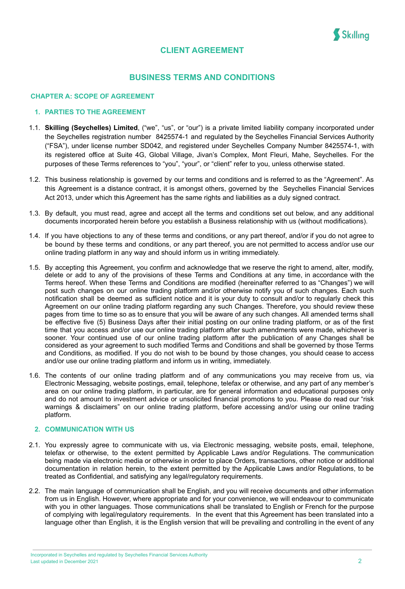

# **CLIENT AGREEMENT**

# **BUSINESS TERMS AND CONDITIONS**

## <span id="page-2-1"></span><span id="page-2-0"></span>**CHAPTER A: SCOPE OF AGREEMENT**

## **1. PARTIES TO THE AGREEMENT**

- 1.1. **Skilling (Seychelles) Limited**, ("we", "us", or "our") is a private limited liability company incorporated under the Seychelles registration number 8425574-1 and regulated by the Seychelles Financial Services Authority ("FSA"), under license number SD042, and registered under Seychelles Company Number 8425574-1, with its registered office at Suite 4G, Global Village, Jivan's Complex, Mont Fleuri, Mahe, Seychelles. For the purposes of these Terms references to "you", "your", or "client" refer to you, unless otherwise stated.
- 1.2. This business relationship is governed by our terms and conditions and is referred to as the "Agreement". As this Agreement is a distance contract, it is amongst others, governed by the Seychelles Financial Services Act 2013, under which this Agreement has the same rights and liabilities as a duly signed contract.
- 1.3. By default, you must read, agree and accept all the terms and conditions set out below, and any additional documents incorporated herein before you establish a Business relationship with us (without modifications).
- 1.4. If you have objections to any of these terms and conditions, or any part thereof, and/or if you do not agree to be bound by these terms and conditions, or any part thereof, you are not permitted to access and/or use our online trading platform in any way and should inform us in writing immediately.
- 1.5. By accepting this Agreement, you confirm and acknowledge that we reserve the right to amend, alter, modify, delete or add to any of the provisions of these Terms and Conditions at any time, in accordance with the Terms hereof. When these Terms and Conditions are modified (hereinafter referred to as "Changes") we will post such changes on our online trading platform and/or otherwise notify you of such changes. Each such notification shall be deemed as sufficient notice and it is your duty to consult and/or to regularly check this Agreement on our online trading platform regarding any such Changes. Therefore, you should review these pages from time to time so as to ensure that you will be aware of any such changes. All amended terms shall be effective five (5) Business Days after their initial posting on our online trading platform, or as of the first time that you access and/or use our online trading platform after such amendments were made, whichever is sooner. Your continued use of our online trading platform after the publication of any Changes shall be considered as your agreement to such modified Terms and Conditions and shall be governed by those Terms and Conditions, as modified. If you do not wish to be bound by those changes, you should cease to access and/or use our online trading platform and inform us in writing, immediately.
- 1.6. The contents of our online trading platform and of any communications you may receive from us, via Electronic Messaging, website postings, email, telephone, telefax or otherwise, and any part of any member's area on our online trading platform, in particular, are for general information and educational purposes only and do not amount to investment advice or unsolicited financial promotions to you. Please do read our "risk warnings & disclaimers" on our online trading platform, before accessing and/or using our online trading platform.

#### **2. COMMUNICATION WITH US**

- 2.1. You expressly agree to communicate with us, via Electronic messaging, website posts, email, telephone, telefax or otherwise, to the extent permitted by Applicable Laws and/or Regulations. The communication being made via electronic media or otherwise in order to place Orders, transactions, other notice or additional documentation in relation herein, to the extent permitted by the Applicable Laws and/or Regulations, to be treated as Confidential, and satisfying any legal/regulatory requirements.
- 2.2. The main language of communication shall be English, and you will receive documents and other information from us in English. However, where appropriate and for your convenience, we will endeavour to communicate with you in other languages. Those communications shall be translated to English or French for the purpose of complying with legal/regulatory requirements. In the event that this Agreement has been translated into a language other than English, it is the English version that will be prevailing and controlling in the event of any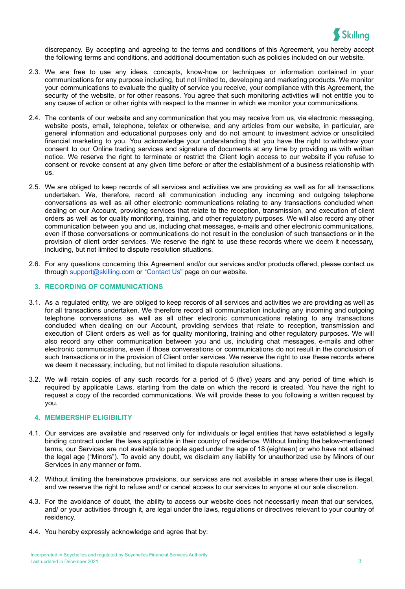

discrepancy. By accepting and agreeing to the terms and conditions of this Agreement, you hereby accept the following terms and conditions, and additional documentation such as policies included on our website*.*

- 2.3. We are free to use any ideas, concepts, know-how or techniques or information contained in your communications for any purpose including, but not limited to, developing and marketing products. We monitor your communications to evaluate the quality of service you receive, your compliance with this Agreement, the security of the website, or for other reasons. You agree that such monitoring activities will not entitle you to any cause of action or other rights with respect to the manner in which we monitor your communications.
- 2.4. The contents of our website and any communication that you may receive from us, via electronic messaging, website posts, email, telephone, telefax or otherwise, and any articles from our website, in particular, are general information and educational purposes only and do not amount to investment advice or unsolicited financial marketing to you. You acknowledge your understanding that you have the right to withdraw your consent to our Online trading services and signature of documents at any time by providing us with written notice. We reserve the right to terminate or restrict the Client login access to our website if you refuse to consent or revoke consent at any given time before or after the establishment of a business relationship with us.
- 2.5. We are obliged to keep records of all services and activities we are providing as well as for all transactions undertaken. We, therefore, record all communication including any incoming and outgoing telephone conversations as well as all other electronic communications relating to any transactions concluded when dealing on our Account, providing services that relate to the reception, transmission, and execution of client orders as well as for quality monitoring, training, and other regulatory purposes. We will also record any other communication between you and us, including chat messages, e-mails and other electronic communications, even if those conversations or communications do not result in the conclusion of such transactions or in the provision of client order services. We reserve the right to use these records where we deem it necessary, including, but not limited to dispute resolution situations.
- 2.6. For any questions concerning this Agreement and/or our services and/or products offered, please contact us through [support@skilling.com](mailto:support@skilling.com) or "[Contact](https://skilling.com/eu/en/contact/) Us" page on our website.

#### **3. RECORDING OF COMMUNICATIONS**

- 3.1. As a regulated entity, we are obliged to keep records of all services and activities we are providing as well as for all transactions undertaken. We therefore record all communication including any incoming and outgoing telephone conversations as well as all other electronic communications relating to any transactions concluded when dealing on our Account, providing services that relate to reception, transmission and execution of Client orders as well as for quality monitoring, training and other regulatory purposes. We will also record any other communication between you and us, including chat messages, e-mails and other electronic communications, even if those conversations or communications do not result in the conclusion of such transactions or in the provision of Client order services. We reserve the right to use these records where we deem it necessary, including, but not limited to dispute resolution situations.
- 3.2. We will retain copies of any such records for a period of 5 (five) years and any period of time which is required by applicable Laws, starting from the date on which the record is created. You have the right to request a copy of the recorded communications. We will provide these to you following a written request by you.

#### **4. MEMBERSHIP ELIGIBILITY**

- 4.1. Our services are available and reserved only for individuals or legal entities that have established a legally binding contract under the laws applicable in their country of residence. Without limiting the below-mentioned terms, our Services are not available to people aged under the age of 18 (eighteen) or who have not attained the legal age ("Minors"). To avoid any doubt, we disclaim any liability for unauthorized use by Minors of our Services in any manner or form.
- 4.2. Without limiting the hereinabove provisions, our services are not available in areas where their use is illegal, and we reserve the right to refuse and/ or cancel access to our services to anyone at our sole discretion.
- 4.3. For the avoidance of doubt, the ability to access our website does not necessarily mean that our services, and/ or your activities through it, are legal under the laws, regulations or directives relevant to your country of residency.
- 4.4. You hereby expressly acknowledge and agree that by: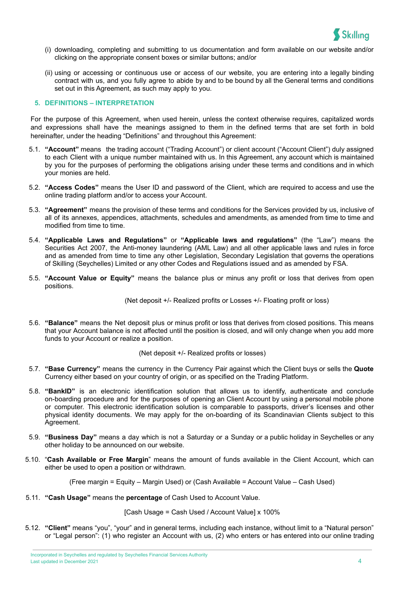

- (i) downloading, completing and submitting to us documentation and form available on our website and/or clicking on the appropriate consent boxes or similar buttons; and/or
- (ii) using or accessing or continuous use or access of our website, you are entering into a legally binding contract with us, and you fully agree to abide by and to be bound by all the General terms and conditions set out in this Agreement, as such may apply to you.

#### **5. DEFINITIONS – INTERPRETATION**

For the purpose of this Agreement, when used herein, unless the context otherwise requires, capitalized words and expressions shall have the meanings assigned to them in the defined terms that are set forth in bold hereinafter, under the heading "Definitions" and throughout this Agreement:

- 5.1. **"Account"** means the trading account ("Trading Account") or client account ("Account Client") duly assigned to each Client with a unique number maintained with us. In this Agreement, any account which is maintained by you for the purposes of performing the obligations arising under these terms and conditions and in which your monies are held.
- 5.2. **"Access Codes"** means the User ID and password of the Client, which are required to access and use the online trading platform and/or to access your Account.
- 5.3. **"Agreement"** means the provision of these terms and conditions for the Services provided by us, inclusive of all of its annexes, appendices, attachments, schedules and amendments, as amended from time to time and modified from time to time.
- 5.4. **"Applicable Laws and Regulations"** or **"Applicable laws and regulations"** (the "Law") means the Securities Act 2007, the Anti-money laundering (AML Law) and all other applicable laws and rules in force and as amended from time to time any other Legislation, Secondary Legislation that governs the operations of Skilling (Seychelles) Limited or any other Codes and Regulations issued and as amended by FSA.
- 5.5. **"Account Value or Equity"** means the balance plus or minus any profit or loss that derives from open positions.

(Net deposit +/- Realized profits or Losses +/- Floating profit or loss)

5.6. **"Balance"** means the Net deposit plus or minus profit or loss that derives from closed positions. This means that your Account balance is not affected until the position is closed, and will only change when you add more funds to your Account or realize a position.

#### (Net deposit +/- Realized profits or losses)

- 5.7. **"Base Currency"** means the currency in the Currency Pair against which the Client buys or sells the **Quote** Currency either based on your country of origin, or as specified on the Trading Platform.
- 5.8. **"BankID"** is an electronic identification solution that allows us to identify, authenticate and conclude on-boarding procedure and for the purposes of opening an Client Account by using a personal mobile phone or computer. This electronic identification solution is comparable to passports, driver's licenses and other physical identity documents. We may apply for the on-boarding of its Scandinavian Clients subject to this Agreement.
- 5.9. **"Business Day"** means a day which is not a Saturday or a Sunday or a public holiday in Seychelles or any other holiday to be announced on our website.
- 5.10. "**Cash Available or Free Margin**" means the amount of funds available in the Client Account, which can either be used to open a position or withdrawn.

(Free margin = Equity – Margin Used) or (Cash Available = Account Value – Cash Used)

5.11. **"Cash Usage"** means the **percentage** of Cash Used to Account Value.

[Cash Usage = Cash Used / Account Value] x 100%

5.12. **"Client"** means "you", "your" and in general terms, including each instance, without limit to a "Natural person" or "Legal person": (1) who register an Account with us, (2) who enters or has entered into our online trading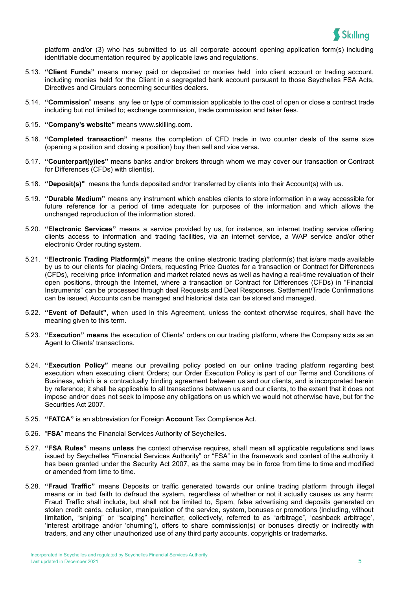

platform and/or (3) who has submitted to us all corporate account opening application form(s) including identifiable documentation required by applicable laws and regulations.

- 5.13. **"Client Funds"** means money paid or deposited or monies held into client account or trading account, including monies held for the Client in a segregated bank account pursuant to those Seychelles FSA Acts, Directives and Circulars concerning securities dealers.
- 5.14. **"Commission**" means any fee or type of commission applicable to the cost of open or close a contract trade including but not limited to; exchange commission, trade commission and taker fees.
- 5.15. **"Company's website"** means www.skilling.com.
- 5.16. **"Completed transaction"** means the completion of CFD trade in two counter deals of the same size (opening a position and closing a position) buy then sell and vice versa.
- 5.17. **"Counterpart(y)ies"** means banks and/or brokers through whom we may cover our transaction or Contract for Differences (CFDs) with client(s).
- 5.18. **"Deposit(s)"** means the funds deposited and/or transferred by clients into their Account(s) with us.
- 5.19. **"Durable Medium"** means any instrument which enables clients to store information in a way accessible for future reference for a period of time adequate for purposes of the information and which allows the unchanged reproduction of the information stored.
- 5.20. **"Electronic Services"** means a service provided by us, for instance, an internet trading service offering clients access to information and trading facilities, via an internet service, a WAP service and/or other electronic Order routing system.
- 5.21. **"Electronic Trading Platform(s)"** means the online electronic trading platform(s) that is/are made available by us to our clients for placing Orders, requesting Price Quotes for a transaction or Contract for Differences (CFDs), receiving price information and market related news as well as having a real-time revaluation of their open positions, through the Internet, where a transaction or Contract for Differences (CFDs) in "Financial Instruments" can be processed through deal Requests and Deal Responses, Settlement/Trade Confirmations can be issued, Accounts can be managed and historical data can be stored and managed.
- 5.22. **"Event of Default"**, when used in this Agreement, unless the context otherwise requires, shall have the meaning given to this term.
- 5.23. **"Execution" means** the execution of Clients' orders on our trading platform, where the Company acts as an Agent to Clients' transactions.
- 5.24. **"Execution Policy"** means our prevailing policy posted on our online trading platform regarding best execution when executing client Orders; our Order Execution Policy is part of our Terms and Conditions of Business, which is a contractually binding agreement between us and our clients, and is incorporated herein by reference; it shall be applicable to all transactions between us and our clients, to the extent that it does not impose and/or does not seek to impose any obligations on us which we would not otherwise have, but for the Securities Act 2007.
- 5.25. **"FATCA"** is an abbreviation for Foreign **Account** Tax Compliance Act.
- 5.26. "**FSA**" means the Financial Services Authority of Seychelles.
- 5.27. **"FSA Rules"** means **unless** the context otherwise requires, shall mean all applicable regulations and laws issued by Seychelles "Financial Services Authority" or "FSA" in the framework and context of the authority it has been granted under the Security Act 2007, as the same may be in force from time to time and modified or amended from time to time.
- 5.28. **"Fraud Traffic"** means Deposits or traffic generated towards our online trading platform through illegal means or in bad faith to defraud the system, regardless of whether or not it actually causes us any harm; Fraud Traffic shall include, but shall not be limited to, Spam, false advertising and deposits generated on stolen credit cards, collusion, manipulation of the service, system, bonuses or promotions (including, without limitation, "sniping" or "scalping" hereinafter, collectively, referred to as "arbitrage", 'cashback arbitrage', 'interest arbitrage and/or 'churning'), offers to share commission(s) or bonuses directly or indirectly with traders, and any other unauthorized use of any third party accounts, copyrights or trademarks.

Incorporated in Seychelles and regulated by Seychelles Financial Services Authority **Last updated in December 2021** 5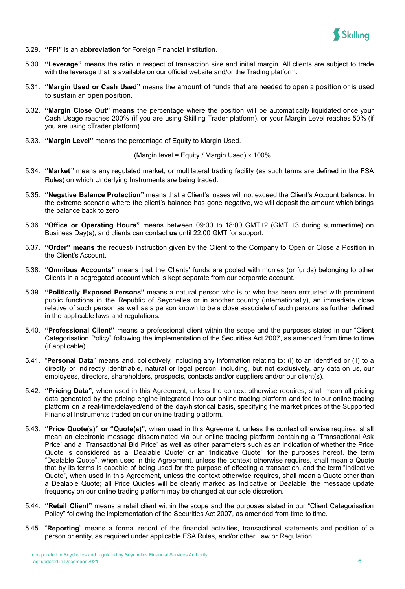

- 5.29. **"FFI"** is an **abbreviation** for Foreign Financial Institution.
- 5.30. **"Leverage"** means the ratio in respect of transaction size and initial margin. All clients are subject to trade with the leverage that is available on our official website and/or the Trading platform.
- 5.31. **"Margin Used or Cash Used"** means the amount of funds that are needed to open a position or is used to sustain an open position.
- 5.32. **"Margin Close Out" means** the percentage where the position will be automatically liquidated once your Cash Usage reaches 200% (if you are using Skilling Trader platform), or your Margin Level reaches 50% (if you are using cTrader platform).
- 5.33. **"Margin Level"** means the percentage of Equity to Margin Used.

(Margin level = Equity / Margin Used) x 100%

- 5.34. **"Market***"* means any regulated market, or multilateral trading facility (as such terms are defined in the FSA Rules) on which Underlying Instruments are being traded.
- 5.35. **"Negative Balance Protection"** means that a Client's losses will not exceed the Client's Account balance. In the extreme scenario where the client's balance has gone negative, we will deposit the amount which brings the balance back to zero.
- 5.36. **"Office or Operating Hours"** means between 09:00 to 18:00 GMT+2 (GMT +3 during summertime) on Business Day(s), and clients can contact **us** until 22:00 GMT for support.
- 5.37. **"Order" means** the request/ instruction given by the Client to the Company to Open or Close a Position in the Client's Account.
- 5.38. **"Omnibus Accounts"** means that the Clients' funds are pooled with monies (or funds) belonging to other Clients in a segregated account which is kept separate from our corporate account.
- 5.39. **"Politically Exposed Persons"** means a natural person who is or who has been entrusted with prominent public functions in the Republic of Seychelles or in another country (internationally), an immediate close relative of such person as well as a person known to be a close associate of such persons as further defined in the applicable laws and regulations.
- 5.40. **"Professional Client"** means a professional client within the scope and the purposes stated in our "Client Categorisation Policy" following the implementation of the Securities Act 2007, as amended from time to time (if applicable).
- 5.41. "**Personal Data**" means and, collectively, including any information relating to: (i) to an identified or (ii) to a directly or indirectly identifiable, natural or legal person, including, but not exclusively, any data on us, our employees, directors, shareholders, prospects, contacts and/or suppliers and/or our client(s).
- 5.42. **"Pricing Data",** when used in this Agreement, unless the context otherwise requires, shall mean all pricing data generated by the pricing engine integrated into our online trading platform and fed to our online trading platform on a real-time/delayed/end of the day/historical basis, specifying the market prices of the Supported Financial Instruments traded on our online trading platform.
- 5.43. **"Price Quote(s)" or "Quote(s)",** when used in this Agreement, unless the context otherwise requires, shall mean an electronic message disseminated via our online trading platform containing a 'Transactional Ask Price' and a 'Transactional Bid Price' as well as other parameters such as an indication of whether the Price Quote is considered as a 'Dealable Quote' or an 'Indicative Quote'; for the purposes hereof, the term "Dealable Quote", when used in this Agreement, unless the context otherwise requires, shall mean a Quote that by its terms is capable of being used for the purpose of effecting a transaction, and the term "Indicative Quote", when used in this Agreement, unless the context otherwise requires, shall mean a Quote other than a Dealable Quote; all Price Quotes will be clearly marked as Indicative or Dealable; the message update frequency on our online trading platform may be changed at our sole discretion.
- 5.44. **"Retail Client"** means a retail client within the scope and the purposes stated in our "Client Categorisation Policy" following the implementation of the Securities Act 2007, as amended from time to time.
- 5.45. "**Reporting**" means a formal record of the financial activities, transactional statements and position of a person or entity, as required under applicable FSA Rules, and/or other Law or Regulation.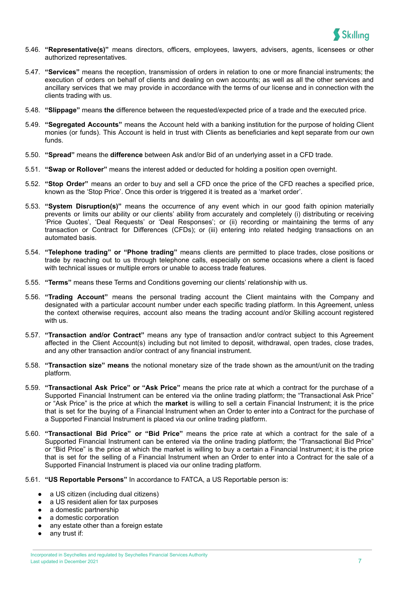

- 5.46. **"Representative(s)"** means directors, officers, employees, lawyers, advisers, agents, licensees or other authorized representatives.
- 5.47. **"Services"** means the reception, transmission of orders in relation to one or more financial instruments; the execution of orders on behalf of clients and dealing on own accounts; as well as all the other services and ancillary services that we may provide in accordance with the terms of our license and in connection with the clients trading with us.
- 5.48. **"Slippage"** means **the** difference between the requested/expected price of a trade and the executed price.
- 5.49. **"Segregated Accounts"** means the Account held with a banking institution for the purpose of holding Client monies (or funds). This Account is held in trust with Clients as beneficiaries and kept separate from our own funds.
- 5.50. **"Spread"** means the **difference** between Ask and/or Bid of an underlying asset in a CFD trade.
- 5.51. **"Swap or Rollover"** means the interest added or deducted for holding a position open overnight.
- 5.52. **"Stop Order"** means an order to buy and sell a CFD once the price of the CFD reaches a specified price, known as the 'Stop Price'. Once this order is triggered it is treated as a 'market order'.
- 5.53. **"System Disruption(s)"** means the occurrence of any event which in our good faith opinion materially prevents or limits our ability or our clients' ability from accurately and completely (i) distributing or receiving 'Price Quotes', 'Deal Requests' or 'Deal Responses'; or (ii) recording or maintaining the terms of any transaction or Contract for Differences (CFDs); or (iii) entering into related hedging transactions on an automated basis.
- 5.54. **"Telephone trading" or "Phone trading"** means clients are permitted to place trades, close positions or trade by reaching out to us through telephone calls, especially on some occasions where a client is faced with technical issues or multiple errors or unable to access trade features.
- 5.55. **"Terms"** means these Terms and Conditions governing our clients' relationship with us.
- 5.56. **"Trading Account"** means the personal trading account the Client maintains with the Company and designated with a particular account number under each specific trading platform. In this Agreement, unless the context otherwise requires, account also means the trading account and/or Skilling account registered with us.
- 5.57. **"Transaction and/or Contract"** means any type of transaction and/or contract subject to this Agreement affected in the Client Account(s) including but not limited to deposit, withdrawal, open trades, close trades, and any other transaction and/or contract of any financial instrument.
- 5.58. **"Transaction size" means** the notional monetary size of the trade shown as the amount/unit on the trading platform.
- 5.59. **"Transactional Ask Price" or "Ask Price"** means the price rate at which a contract for the purchase of a Supported Financial Instrument can be entered via the online trading platform; the "Transactional Ask Price" or "Ask Price" is the price at which the **market** is willing to sell a certain Financial Instrument; it is the price that is set for the buying of a Financial Instrument when an Order to enter into a Contract for the purchase of a Supported Financial Instrument is placed via our online trading platform.
- 5.60. **"Transactional Bid Price" or "Bid Price"** means the price rate at which a contract for the sale of a Supported Financial Instrument can be entered via the online trading platform; the "Transactional Bid Price" or "Bid Price" is the price at which the market is willing to buy a certain a Financial Instrument; it is the price that is set for the selling of a Financial Instrument when an Order to enter into a Contract for the sale of a Supported Financial Instrument is placed via our online trading platform.
- 5.61. **"US Reportable Persons"** In accordance to FATCA, a US Reportable person is:
	- a US citizen (including dual citizens)
	- a US resident alien for tax purposes
	- a domestic partnership
	- a domestic corporation
	- any estate other than a foreign estate
	- any trust if: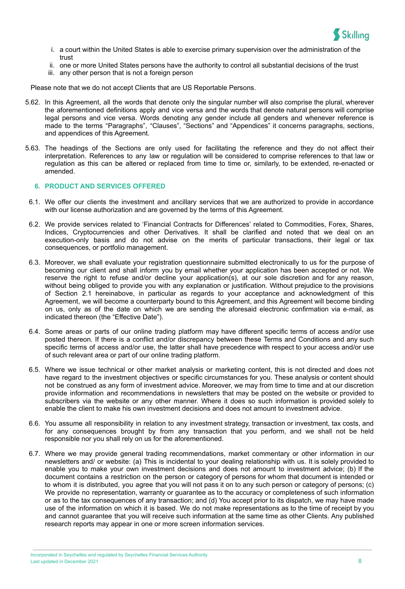

- i. a court within the United States is able to exercise primary supervision over the administration of the trust
- ii. one or more United States persons have the authority to control all substantial decisions of the trust
- iii. any other person that is not a foreign person

Please note that we do not accept Clients that are US Reportable Persons.

- 5.62. In this Agreement, all the words that denote only the singular number will also comprise the plural, wherever the aforementioned definitions apply and vice versa and the words that denote natural persons will comprise legal persons and vice versa. Words denoting any gender include all genders and whenever reference is made to the terms "Paragraphs", "Clauses", "Sections" and "Appendices" it concerns paragraphs, sections, and appendices of this Agreement.
- 5.63. The headings of the Sections are only used for facilitating the reference and they do not affect their interpretation. References to any law or regulation will be considered to comprise references to that law or regulation as this can be altered or replaced from time to time or, similarly, to be extended, re-enacted or amended.

#### **6. PRODUCT AND SERVICES OFFERED**

- 6.1. We offer our clients the investment and ancillary services that we are authorized to provide in accordance with our license authorization and are governed by the terms of this Agreement.
- 6.2. We provide services related to 'Financial Contracts for Differences' related to Commodities, Forex, Shares, Indices, Cryptocurrencies and other Derivatives. It shall be clarified and noted that we deal on an execution-only basis and do not advise on the merits of particular transactions, their legal or tax consequences, or portfolio management.
- 6.3. Moreover, we shall evaluate your registration questionnaire submitted electronically to us for the purpose of becoming our client and shall inform you by email whether your application has been accepted or not. We reserve the right to refuse and/or decline your application(s), at our sole discretion and for any reason, without being obliged to provide you with any explanation or justification. Without prejudice to the provisions of Section 2.1 hereinabove, in particular as regards to your acceptance and acknowledgment of this Agreement, we will become a counterparty bound to this Agreement, and this Agreement will become binding on us, only as of the date on which we are sending the aforesaid electronic confirmation via e-mail, as indicated thereon (the "Effective Date").
- 6.4. Some areas or parts of our online trading platform may have different specific terms of access and/or use posted thereon. If there is a conflict and/or discrepancy between these Terms and Conditions and any such specific terms of access and/or use, the latter shall have precedence with respect to your access and/or use of such relevant area or part of our online trading platform.
- 6.5. Where we issue technical or other market analysis or marketing content, this is not directed and does not have regard to the investment objectives or specific circumstances for you. These analysis or content should not be construed as any form of investment advice. Moreover, we may from time to time and at our discretion provide information and recommendations in newsletters that may be posted on the website or provided to subscribers via the website or any other manner. Where it does so such information is provided solely to enable the client to make his own investment decisions and does not amount to investment advice.
- 6.6. You assume all responsibility in relation to any investment strategy, transaction or investment, tax costs, and for any consequences brought by from any transaction that you perform, and we shall not be held responsible nor you shall rely on us for the aforementioned.
- 6.7. Where we may provide general trading recommendations, market commentary or other information in our newsletters and/ or website: (a) This is incidental to your dealing relationship with us. It is solely provided to enable you to make your own investment decisions and does not amount to investment advice; (b) If the document contains a restriction on the person or category of persons for whom that document is intended or to whom it is distributed, you agree that you will not pass it on to any such person or category of persons; (c) We provide no representation, warranty or quarantee as to the accuracy or completeness of such information or as to the tax consequences of any transaction; and (d) You accept prior to its dispatch, we may have made use of the information on which it is based. We do not make representations as to the time of receipt by you and cannot guarantee that you will receive such information at the same time as other Clients. Any published research reports may appear in one or more screen information services.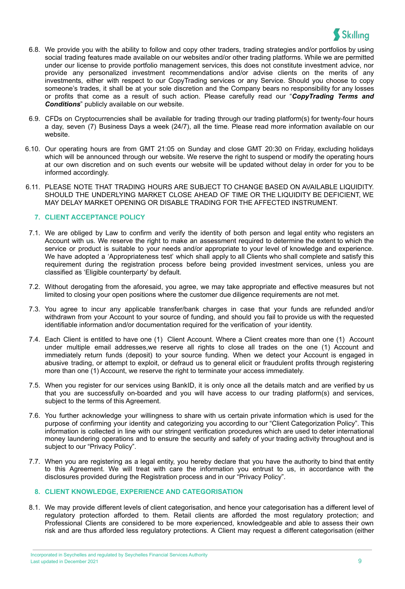

- 6.8. We provide you with the ability to follow and copy other traders, trading strategies and/or portfolios by using social trading features made available on our websites and/or other trading platforms. While we are permitted under our license to provide portfolio management services, this does not constitute investment advice, nor provide any personalized investment recommendations and/or advise clients on the merits of any investments, either with respect to our CopyTrading services or any Service. Should you choose to copy someone's trades, it shall be at your sole discretion and the Company bears no responsibility for any losses or profits that come as a result of such action. Please carefully read our "*CopyTrading Terms and Conditions*" publicly available on our website.
- 6.9. CFDs on Cryptocurrencies shall be available for trading through our trading platform(s) for twenty-four hours a day, seven (7) Business Days a week (24/7), all the time. Please read more information available on our website.
- 6.10. Our operating hours are from GMT 21:05 on Sunday and close GMT 20:30 on Friday, excluding holidays which will be announced through our website. We reserve the right to suspend or modify the operating hours at our own discretion and on such events our website will be updated without delay in order for you to be informed accordingly.
- 6.11. PLEASE NOTE THAT TRADING HOURS ARE SUBJECT TO CHANGE BASED ON AVAILABLE LIQUIDITY. SHOULD THE UNDERLYING MARKET CLOSE AHEAD OF TIME OR THE LIQUIDITY BE DEFICIENT, WE MAY DELAY MARKET OPENING OR DISABLE TRADING FOR THE AFFECTED INSTRUMENT.

#### **7. CLIENT ACCEPTANCE POLICY**

- 7.1. We are obliged by Law to confirm and verify the identity of both person and legal entity who registers an Account with us. We reserve the right to make an assessment required to determine the extent to which the service or product is suitable to your needs and/or appropriate to your level of knowledge and experience. We have adopted a 'Appropriateness test' which shall apply to all Clients who shall complete and satisfy this requirement during the registration process before being provided investment services, unless you are classified as 'Eligible counterparty' by default.
- 7.2. Without derogating from the aforesaid, you agree, we may take appropriate and effective measures but not limited to closing your open positions where the customer due diligence requirements are not met.
- 7.3. You agree to incur any applicable transfer/bank charges in case that your funds are refunded and/or withdrawn from your Account to your source of funding, and should you fail to provide us with the requested identifiable information and/or documentation required for the verification of your identity.
- 7.4. Each Client is entitled to have one (1) Client Account. Where a Client creates more than one (1) Account under multiple email addresses,we reserve all rights to close all trades on the one (1) Account and immediately return funds (deposit) to your source funding. When we detect your Account is engaged in abusive trading, or attempt to exploit, or defraud us to general elicit or fraudulent profits through registering more than one (1) Account, we reserve the right to terminate your access immediately.
- 7.5. When you register for our services using BankID, it is only once all the details match and are verified by us that you are successfully on-boarded and you will have access to our trading platform(s) and services, subject to the terms of this Agreement.
- 7.6. You further acknowledge your willingness to share with us certain private information which is used for the purpose of confirming your identity and categorizing you according to our "Client Categorization Policy". This information is collected in line with our stringent verification procedures which are used to deter international money laundering operations and to ensure the security and safety of your trading activity throughout and is subject to our "Privacy Policy".
- 7.7. When you are registering as a legal entity, you hereby declare that you have the authority to bind that entity to this Agreement. We will treat with care the information you entrust to us, in accordance with the disclosures provided during the Registration process and in our "Privacy Policy".

## **8. CLIENT KNOWLEDGE, EXPERIENCE AND CATEGORISATION**

8.1. We may provide different levels of client categorisation, and hence your categorisation has a different level of regulatory protection afforded to them. Retail clients are afforded the most regulatory protection; and Professional Clients are considered to be more experienced, knowledgeable and able to assess their own risk and are thus afforded less regulatory protections. A Client may request a different categorisation (either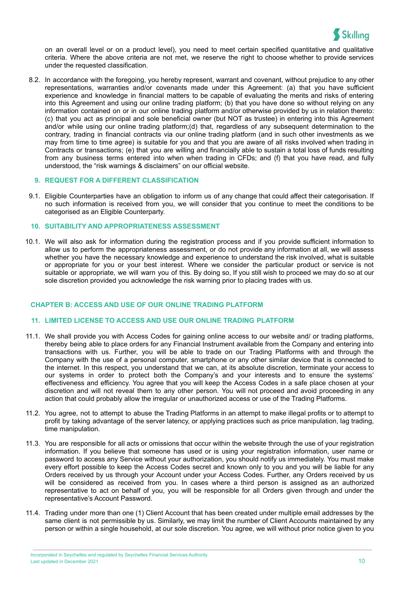

on an overall level or on a product level), you need to meet certain specified quantitative and qualitative criteria. Where the above criteria are not met, we reserve the right to choose whether to provide services under the requested classification.

8.2. In accordance with the foregoing, you hereby represent, warrant and covenant, without prejudice to any other representations, warranties and/or covenants made under this Agreement: (a) that you have sufficient experience and knowledge in financial matters to be capable of evaluating the merits and risks of entering into this Agreement and using our online trading platform; (b) that you have done so without relying on any information contained on or in our online trading platform and/or otherwise provided by us in relation thereto: (c) that you act as principal and sole beneficial owner (but NOT as trustee) in entering into this Agreement and/or while using our online trading platform;(d) that, regardless of any subsequent determination to the contrary, trading in financial contracts via our online trading platform (and in such other investments as we may from time to time agree) is suitable for you and that you are aware of all risks involved when trading in Contracts or transactions; (e) that you are willing and financially able to sustain a total loss of funds resulting from any business terms entered into when when trading in CFDs; and (f) that you have read, and fully understood, the "risk warnings & disclaimers" on our official website.

## **9. REQUEST FOR A DIFFERENT CLASSIFICATION**

9.1. Eligible Counterparties have an obligation to inform us of any change that could affect their categorisation. If no such information is received from you, we will consider that you continue to meet the conditions to be categorised as an Eligible Counterparty.

#### **10. SUITABILITY AND APPROPRIATENESS ASSESSMENT**

10.1. We will also ask for information during the registration process and if you provide sufficient information to allow us to perform the appropriateness assessment, or do not provide any information at all, we will assess whether you have the necessary knowledge and experience to understand the risk involved, what is suitable or appropriate for you or your best interest. Where we consider the particular product or service is not suitable or appropriate, we will warn you of this. By doing so, If you still wish to proceed we may do so at our sole discretion provided you acknowledge the risk warning prior to placing trades with us.

## <span id="page-10-0"></span>**CHAPTER B: ACCESS AND USE OF OUR ONLINE TRADING PLATFORM**

## **11. LIMITED LICENSE TO ACCESS AND USE OUR ONLINE TRADING PLATFORM**

- 11.1. We shall provide you with Access Codes for gaining online access to our website and/ or trading platforms, thereby being able to place orders for any Financial Instrument available from the Company and entering into transactions with us. Further, you will be able to trade on our Trading Platforms with and through the Company with the use of a personal computer, smartphone or any other similar device that is connected to the internet. In this respect, you understand that we can, at its absolute discretion, terminate your access to our systems in order to protect both the Company's and your interests and to ensure the systems' effectiveness and efficiency. You agree that you will keep the Access Codes in a safe place chosen at your discretion and will not reveal them to any other person. You will not proceed and avoid proceeding in any action that could probably allow the irregular or unauthorized access or use of the Trading Platforms.
- 11.2. You agree, not to attempt to abuse the Trading Platforms in an attempt to make illegal profits or to attempt to profit by taking advantage of the server latency, or applying practices such as price manipulation, lag trading, time manipulation.
- 11.3. You are responsible for all acts or omissions that occur within the website through the use of your registration information. If you believe that someone has used or is using your registration information, user name or password to access any Service without your authorization, you should notify us immediately. You must make every effort possible to keep the Access Codes secret and known only to you and you will be liable for any Orders received by us through your Account under your Access Codes. Further, any Orders received by us will be considered as received from you. In cases where a third person is assigned as an authorized representative to act on behalf of you, you will be responsible for all Orders given through and under the representative's Account Password.
- 11.4. Trading under more than one (1) Client Account that has been created under multiple email addresses by the same client is not permissible by us. Similarly, we may limit the number of Client Accounts maintained by any person or within a single household, at our sole discretion. You agree, we will without prior notice given to you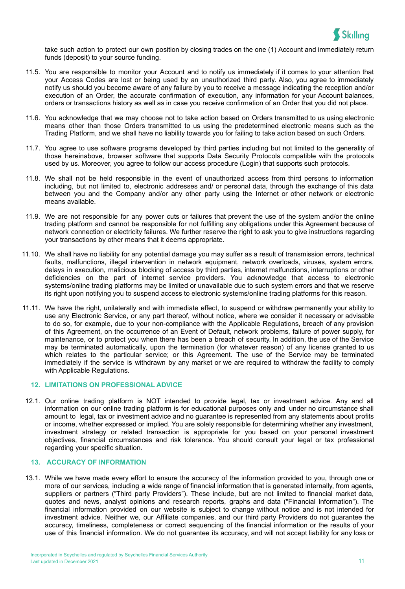

take such action to protect our own position by closing trades on the one (1) Account and immediately return funds (deposit) to your source funding.

- 11.5. You are responsible to monitor your Account and to notify us immediately if it comes to your attention that your Access Codes are lost or being used by an unauthorized third party. Also, you agree to immediately notify us should you become aware of any failure by you to receive a message indicating the reception and/or execution of an Order, the accurate confirmation of execution, any information for your Account balances, orders or transactions history as well as in case you receive confirmation of an Order that you did not place.
- 11.6. You acknowledge that we may choose not to take action based on Orders transmitted to us using electronic means other than those Orders transmitted to us using the predetermined electronic means such as the Trading Platform, and we shall have no liability towards you for failing to take action based on such Orders.
- 11.7. You agree to use software programs developed by third parties including but not limited to the generality of those hereinabove, browser software that supports Data Security Protocols compatible with the protocols used by us. Moreover, you agree to follow our access procedure (Login) that supports such protocols.
- 11.8. We shall not be held responsible in the event of unauthorized access from third persons to information including, but not limited to, electronic addresses and/ or personal data, through the exchange of this data between you and the Company and/or any other party using the Internet or other network or electronic means available.
- 11.9. We are not responsible for any power cuts or failures that prevent the use of the system and/or the online trading platform and cannot be responsible for not fulfilling any obligations under this Agreement because of network connection or electricity failures. We further reserve the right to ask you to give instructions regarding your transactions by other means that it deems appropriate.
- 11.10. We shall have no liability for any potential damage you may suffer as a result of transmission errors, technical faults, malfunctions, illegal intervention in network equipment, network overloads, viruses, system errors, delays in execution, malicious blocking of access by third parties, internet malfunctions, interruptions or other deficiencies on the part of internet service providers. You acknowledge that access to electronic systems/online trading platforms may be limited or unavailable due to such system errors and that we reserve its right upon notifying you to suspend access to electronic systems/online trading platforms for this reason.
- 11.11. We have the right, unilaterally and with immediate effect, to suspend or withdraw permanently your ability to use any Electronic Service, or any part thereof, without notice, where we consider it necessary or advisable to do so, for example, due to your non-compliance with the Applicable Regulations, breach of any provision of this Agreement, on the occurrence of an Event of Default, network problems, failure of power supply, for maintenance, or to protect you when there has been a breach of security. In addition, the use of the Service may be terminated automatically, upon the termination (for whatever reason) of any license granted to us which relates to the particular service; or this Agreement. The use of the Service may be terminated immediately if the service is withdrawn by any market or we are required to withdraw the facility to comply with Applicable Regulations.

#### **12. LIMITATIONS ON PROFESSIONAL ADVICE**

12.1. Our online trading platform is NOT intended to provide legal, tax or investment advice. Any and all information on our online trading platform is for educational purposes only and under no circumstance shall amount to legal, tax or investment advice and no guarantee is represented from any statements about profits or income, whether expressed or implied. You are solely responsible for determining whether any investment, investment strategy or related transaction is appropriate for you based on your personal investment objectives, financial circumstances and risk tolerance. You should consult your legal or tax professional regarding your specific situation.

## **13. ACCURACY OF INFORMATION**

13.1. While we have made every effort to ensure the accuracy of the information provided to you, through one or more of our services, including a wide range of financial information that is generated internally, from agents, suppliers or partners ("Third party Providers"). These include, but are not limited to financial market data, quotes and news, analyst opinions and research reports, graphs and data ("Financial Information"). The financial information provided on our website is subject to change without notice and is not intended for investment advice. Neither we, our Affiliate companies, and our third party Providers do not guarantee the accuracy, timeliness, completeness or correct sequencing of the financial information or the results of your use of this financial information. We do not guarantee its accuracy, and will not accept liability for any loss or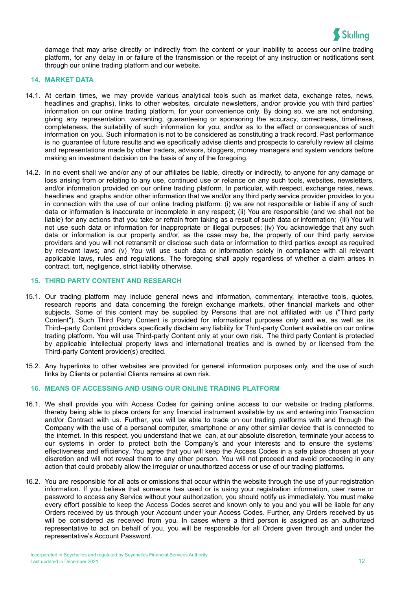

damage that may arise directly or indirectly from the content or your inability to access our online trading platform, for any delay in or failure of the transmission or the receipt of any instruction or notifications sent through our online trading platform and our website.

#### **14. MARKET DATA**

- 14.1. At certain times, we may provide various analytical tools such as market data, exchange rates, news, headlines and graphs), links to other websites, circulate newsletters, and/or provide you with third parties' information on our online trading platform, for your convenience only. By doing so, we are not endorsing, giving any representation, warranting, guaranteeing or sponsoring the accuracy, correctness, timeliness, completeness, the suitability of such information for you, and/or as to the effect or consequences of such information on you. Such information is not to be considered as constituting a track record. Past performance is no guarantee of future results and we specifically advise clients and prospects to carefully review all claims and representations made by other traders, advisors, bloggers, money managers and system vendors before making an investment decision on the basis of any of the foregoing.
- 14.2. In no event shall we and/or any of our affiliates be liable, directly or indirectly, to anyone for any damage or loss arising from or relating to any use, continued use or reliance on any such tools, websites, newsletters, and/or information provided on our online trading platform. In particular, with respect, exchange rates, news, headlines and graphs and/or other information that we and/or any third party service provider provides to you in connection with the use of our online trading platform: (i) we are not responsible or liable if any of such data or information is inaccurate or incomplete in any respect; (ii) You are responsible (and we shall not be liable) for any actions that you take or refrain from taking as a result of such data or information; (iii) You will not use such data or information for inappropriate or illegal purposes; (iv) You acknowledge that any such data or information is our property and/or, as the case may be, the property of our third party service providers and you will not retransmit or disclose such data or information to third parties except as required by relevant laws; and (v) You will use such data or information solely in compliance with all relevant applicable laws, rules and regulations. The foregoing shall apply regardless of whether a claim arises in contract, tort, negligence, strict liability otherwise.

#### **15. THIRD PARTY CONTENT AND RESEARCH**

- 15.1. Our trading platform may include general news and information, commentary, interactive tools, quotes, research reports and data concerning the foreign exchange markets, other financial markets and other subjects. Some of this content may be supplied by Persons that are not affiliated with us ("Third party Content"). Such Third Party Content is provided for informational purposes only and we, as well as its Third--party Content providers specifically disclaim any liability for Third-party Content available on our online trading platform. You will use Third-party Content only at your own risk. The third party Content is protected by applicable intellectual property laws and international treaties and is owned by or licensed from the Third-party Content provider(s) credited.
- 15.2. Any hyperlinks to other websites are provided for general information purposes only, and the use of such links by Clients or potential Clients remains at own risk.

#### **16. MEANS OF ACCESSING AND USING OUR ONLINE TRADING PLATFORM**

- 16.1. We shall provide you with Access Codes for gaining online access to our website or trading platforms, thereby being able to place orders for any financial instrument available by us and entering into Transaction and/or Contract with us. Further, you will be able to trade on our trading platforms with and through the Company with the use of a personal computer, smartphone or any other similar device that is connected to the internet. In this respect, you understand that we can, at our absolute discretion, terminate your access to our systems in order to protect both the Company's and your interests and to ensure the systems' effectiveness and efficiency. You agree that you will keep the Access Codes in a safe place chosen at your discretion and will not reveal them to any other person. You will not proceed and avoid proceeding in any action that could probably allow the irregular or unauthorized access or use of our trading platforms.
- 16.2. You are responsible for all acts or omissions that occur within the website through the use of your registration information. If you believe that someone has used or is using your registration information, user name or password to access any Service without your authorization, you should notify us immediately. You must make every effort possible to keep the Access Codes secret and known only to you and you will be liable for any Orders received by us through your Account under your Access Codes. Further, any Orders received by us will be considered as received from you. In cases where a third person is assigned as an authorized representative to act on behalf of you, you will be responsible for all Orders given through and under the representative's Account Password.

Incorporated in Seychelles and regulated by Seychelles Financial Services Authority **Last updated in December 2021** 12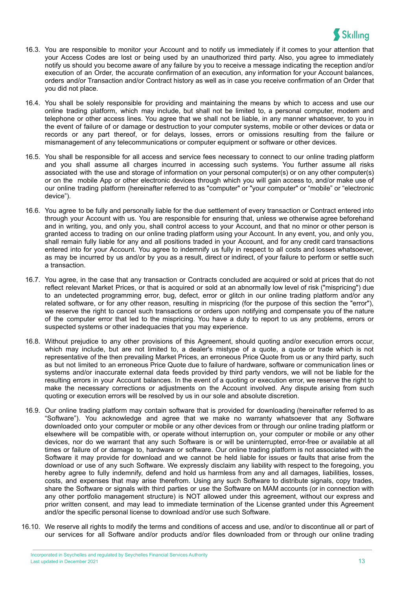

- 16.3. You are responsible to monitor your Account and to notify us immediately if it comes to your attention that your Access Codes are lost or being used by an unauthorized third party. Also, you agree to immediately notify us should you become aware of any failure by you to receive a message indicating the reception and/or execution of an Order, the accurate confirmation of an execution, any information for your Account balances, orders and/or Transaction and/or Contract history as well as in case you receive confirmation of an Order that you did not place.
- 16.4. You shall be solely responsible for providing and maintaining the means by which to access and use our online trading platform, which may include, but shall not be limited to, a personal computer, modem and telephone or other access lines. You agree that we shall not be liable, in any manner whatsoever, to you in the event of failure of or damage or destruction to your computer systems, mobile or other devices or data or records or any part thereof, or for delays, losses, errors or omissions resulting from the failure or mismanagement of any telecommunications or computer equipment or software or other devices.
- 16.5. You shall be responsible for all access and service fees necessary to connect to our online trading platform and you shall assume all charges incurred in accessing such systems. You further assume all risks associated with the use and storage of information on your personal computer(s) or on any other computer(s) or on the mobile App or other electronic devices through which you will gain access to, and/or make use of our online trading platform (hereinafter referred to as "computer" or "your computer" or "mobile" or "electronic device").
- 16.6. You agree to be fully and personally liable for the due settlement of every transaction or Contract entered into through your Account with us. You are responsible for ensuring that, unless we otherwise agree beforehand and in writing, you, and only you, shall control access to your Account, and that no minor or other person is granted access to trading on our online trading platform using your Account. In any event, you, and only you, shall remain fully liable for any and all positions traded in your Account, and for any credit card transactions entered into for your Account. You agree to indemnify us fully in respect to all costs and losses whatsoever, as may be incurred by us and/or by you as a result, direct or indirect, of your failure to perform or settle such a transaction.
- 16.7. You agree, in the case that any transaction or Contracts concluded are acquired or sold at prices that do not reflect relevant Market Prices, or that is acquired or sold at an abnormally low level of risk ("mispricing") due to an undetected programming error, bug, defect, error or glitch in our online trading platform and/or any related software, or for any other reason, resulting in mispricing (for the purpose of this section the "error"), we reserve the right to cancel such transactions or orders upon notifying and compensate you of the nature of the computer error that led to the mispricing. You have a duty to report to us any problems, errors or suspected systems or other inadequacies that you may experience.
- 16.8. Without prejudice to any other provisions of this Agreement, should quoting and/or execution errors occur, which may include, but are not limited to, a dealer's mistype of a quote, a quote or trade which is not representative of the then prevailing Market Prices, an erroneous Price Quote from us or any third party, such as but not limited to an erroneous Price Quote due to failure of hardware, software or communication lines or systems and/or inaccurate external data feeds provided by third party vendors, we will not be liable for the resulting errors in your Account balances. In the event of a quoting or execution error, we reserve the right to make the necessary corrections or adjustments on the Account involved. Any dispute arising from such quoting or execution errors will be resolved by us in our sole and absolute discretion.
- 16.9. Our online trading platform may contain software that is provided for downloading (hereinafter referred to as "Software"). You acknowledge and agree that we make no warranty whatsoever that any Software downloaded onto your computer or mobile or any other devices from or through our online trading platform or elsewhere will be compatible with, or operate without interruption on, your computer or mobile or any other devices, nor do we warrant that any such Software is or will be uninterrupted, error-free or available at all times or failure of or damage to, hardware or software. Our online trading platform is not associated with the Software it may provide for download and we cannot be held liable for issues or faults that arise from the download or use of any such Software. We expressly disclaim any liability with respect to the foregoing, you hereby agree to fully indemnify, defend and hold us harmless from any and all damages, liabilities, losses, costs, and expenses that may arise therefrom. Using any such Software to distribute signals, copy trades, share the Software or signals with third parties or use the Software on MAM accounts (or in connection with any other portfolio management structure) is NOT allowed under this agreement, without our express and prior written consent, and may lead to immediate termination of the License granted under this Agreement and/or the specific personal license to download and/or use such Software.
- 16.10. We reserve all rights to modify the terms and conditions of access and use, and/or to discontinue all or part of our services for all Software and/or products and/or files downloaded from or through our online trading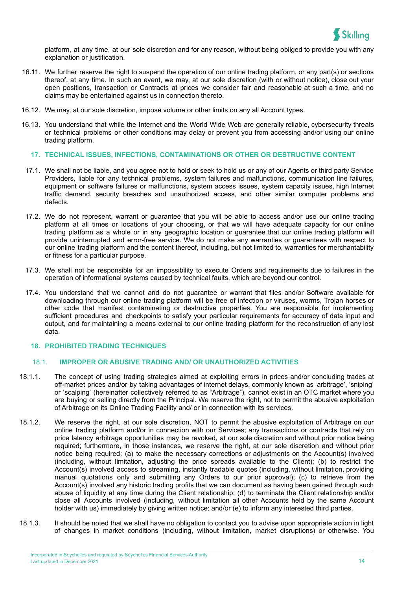

platform, at any time, at our sole discretion and for any reason, without being obliged to provide you with any explanation or justification.

- 16.11. We further reserve the right to suspend the operation of our online trading platform, or any part(s) or sections thereof, at any time. In such an event, we may, at our sole discretion (with or without notice), close out your open positions, transaction or Contracts at prices we consider fair and reasonable at such a time, and no claims may be entertained against us in connection thereto.
- 16.12. We may, at our sole discretion, impose volume or other limits on any all Account types.
- 16.13. You understand that while the Internet and the World Wide Web are generally reliable, cybersecurity threats or technical problems or other conditions may delay or prevent you from accessing and/or using our online trading platform.

#### **17. TECHNICAL ISSUES, INFECTIONS, CONTAMINATIONS OR OTHER OR DESTRUCTIVE CONTENT**

- 17.1. We shall not be liable, and you agree not to hold or seek to hold us or any of our Agents or third party Service Providers, liable for any technical problems, system failures and malfunctions, communication line failures, equipment or software failures or malfunctions, system access issues, system capacity issues, high Internet traffic demand, security breaches and unauthorized access, and other similar computer problems and defects.
- 17.2. We do not represent, warrant or guarantee that you will be able to access and/or use our online trading platform at all times or locations of your choosing, or that we will have adequate capacity for our online trading platform as a whole or in any geographic location or guarantee that our online trading platform will provide uninterrupted and error-free service. We do not make any warranties or guarantees with respect to our online trading platform and the content thereof, including, but not limited to, warranties for merchantability or fitness for a particular purpose.
- 17.3. We shall not be responsible for an impossibility to execute Orders and requirements due to failures in the operation of informational systems caused by technical faults, which are beyond our control.
- 17.4. You understand that we cannot and do not guarantee or warrant that files and/or Software available for downloading through our online trading platform will be free of infection or viruses, worms, Trojan horses or other code that manifest contaminating or destructive properties. You are responsible for implementing sufficient procedures and checkpoints to satisfy your particular requirements for accuracy of data input and output, and for maintaining a means external to our online trading platform for the reconstruction of any lost data.

#### **18. PROHIBITED TRADING TECHNIQUES**

#### 18.1. **IMPROPER OR ABUSIVE TRADING AND/ OR UNAUTHORIZED ACTIVITIES**

- 18.1.1. The concept of using trading strategies aimed at exploiting errors in prices and/or concluding trades at off-market prices and/or by taking advantages of internet delays, commonly known as 'arbitrage', 'sniping' or 'scalping' (hereinafter collectively referred to as "Arbitrage"), cannot exist in an OTC market where you are buying or selling directly from the Principal. We reserve the right, not to permit the abusive exploitation of Arbitrage on its Online Trading Facility and/ or in connection with its services.
- 18.1.2. We reserve the right, at our sole discretion, NOT to permit the abusive exploitation of Arbitrage on our online trading platform and/or in connection with our Services; any transactions or contracts that rely on price latency arbitrage opportunities may be revoked, at our sole discretion and without prior notice being required; furthermore, in those instances, we reserve the right, at our sole discretion and without prior notice being required: (a) to make the necessary corrections or adjustments on the Account(s) involved (including, without limitation, adjusting the price spreads available to the Client); (b) to restrict the Account(s) involved access to streaming, instantly tradable quotes (including, without limitation, providing manual quotations only and submitting any Orders to our prior approval); (c) to retrieve from the Account(s) involved any historic trading profits that we can document as having been gained through such abuse of liquidity at any time during the Client relationship; (d) to terminate the Client relationship and/or close all Accounts involved (including, without limitation all other Accounts held by the same Account holder with us) immediately by giving written notice; and/or (e) to inform any interested third parties.
- 18.1.3. It should be noted that we shall have no obligation to contact you to advise upon appropriate action in light of changes in market conditions (including, without limitation, market disruptions) or otherwise. You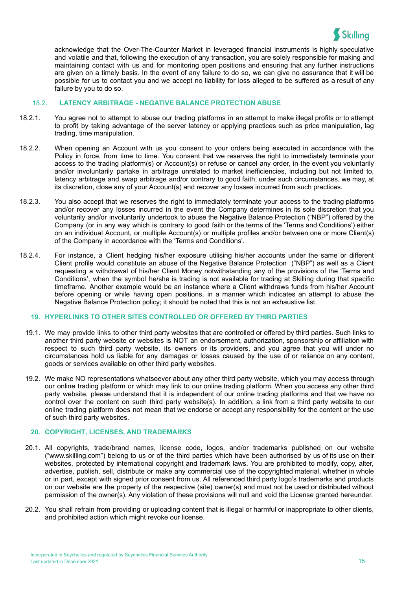

acknowledge that the Over-The-Counter Market in leveraged financial instruments is highly speculative and volatile and that, following the execution of any transaction, you are solely responsible for making and maintaining contact with us and for monitoring open positions and ensuring that any further instructions are given on a timely basis. In the event of any failure to do so, we can give no assurance that it will be possible for us to contact you and we accept no liability for loss alleged to be suffered as a result of any failure by you to do so.

#### 18.2. **LATENCY ARBITRAGE - NEGATIVE BALANCE PROTECTION ABUSE**

- 18.2.1. You agree not to attempt to abuse our trading platforms in an attempt to make illegal profits or to attempt to profit by taking advantage of the server latency or applying practices such as price manipulation, lag trading, time manipulation.
- 18.2.2. When opening an Account with us you consent to your orders being executed in accordance with the Policy in force, from time to time. You consent that we reserves the right to immediately terminate your access to the trading platform(s) or Account(s) or refuse or cancel any order, in the event you voluntarily and/or involuntarily partake in arbitrage unrelated to market inefficiencies, including but not limited to, latency arbitrage and swap arbitrage and/or contrary to good faith; under such circumstances, we may, at its discretion, close any of your Account(s) and recover any losses incurred from such practices.
- 18.2.3. You also accept that we reserves the right to immediately terminate your access to the trading platforms and/or recover any losses incurred in the event the Company determines in its sole discretion that you voluntarily and/or involuntarily undertook to abuse the Negative Balance Protection ("NBP") offered by the Company (or in any way which is contrary to good faith or the terms of the 'Terms and Conditions') either on an individual Account, or multiple Account(s) or multiple profiles and/or between one or more Client(s) of the Company in accordance with the 'Terms and Conditions'.
- 18.2.4. For instance, a Client hedging his/her exposure utilising his/her accounts under the same or different Client profile would constitute an abuse of the Negative Balance Protection ("NBP") as well as a Client requesting a withdrawal of his/her Client Money notwithstanding any of the provisions of the 'Terms and Conditions', when the symbol he/she is trading is not available for trading at Skilling during that specific timeframe. Another example would be an instance where a Client withdraws funds from his/her Account before opening or while having open positions, in a manner which indicates an attempt to abuse the Negative Balance Protection policy; it should be noted that this is not an exhaustive list.

## **19. HYPERLINKS TO OTHER SITES CONTROLLED OR OFFERED BY THIRD PARTIES**

- 19.1. We may provide links to other third party websites that are controlled or offered by third parties. Such links to another third party website or websites is NOT an endorsement, authorization, sponsorship or affiliation with respect to such third party website, its owners or its providers, and you agree that you will under no circumstances hold us liable for any damages or losses caused by the use of or reliance on any content, goods or services available on other third party websites.
- 19.2. We make NO representations whatsoever about any other third party website, which you may access through our online trading platform or which may link to our online trading platform. When you access any other third party website, please understand that it is independent of our online trading platforms and that we have no control over the content on such third party website(s). In addition, a link from a third party website to our online trading platform does not mean that we endorse or accept any responsibility for the content or the use of such third party websites.

## **20. COPYRIGHT, LICENSES, AND TRADEMARKS**

- 20.1. All copyrights, trade/brand names, license code, logos, and/or trademarks published on our website ("www.skilling.com") belong to us or of the third parties which have been authorised by us of its use on their websites, protected by international copyright and trademark laws. You are prohibited to modify, copy, alter, advertise, publish, sell, distribute or make any commercial use of the copyrighted material, whether in whole or in part, except with signed prior consent from us. All referenced third party logo's trademarks and products on our website are the property of the respective (site) owner(s) and must not be used or distributed without permission of the owner(s). Any violation of these provisions will null and void the License granted hereunder.
- 20.2. You shall refrain from providing or uploading content that is illegal or harmful or inappropriate to other clients, and prohibited action which might revoke our license.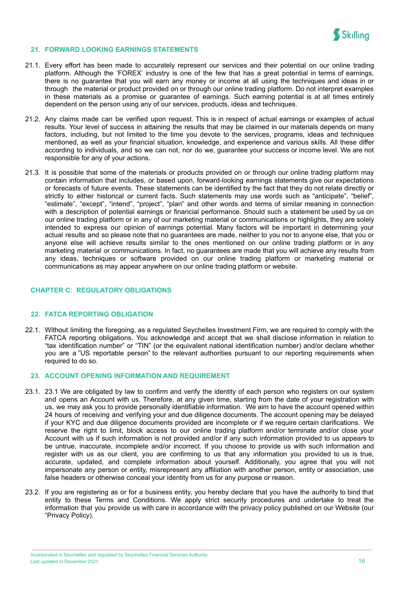

#### **21. FORWARD LOOKING EARNINGS STATEMENTS**

- 21.1. Every effort has been made to accurately represent our services and their potential on our online trading platform. Although the 'FOREX' industry is one of the few that has a great potential in terms of earnings, there is no guarantee that you will earn any money or income at all using the techniques and ideas in or through the material or product provided on or through our online trading platform. Do not interpret examples in these materials as a promise or guarantee of earnings. Such earning potential is at all times entirely dependent on the person using any of our services, products, ideas and techniques.
- 21.2. Any claims made can be verified upon request. This is in respect of actual earnings or examples of actual results. Your level of success in attaining the results that may be claimed in our materials depends on many factors, including, but not limited to the time you devote to the services, programs, ideas and techniques mentioned, as well as your financial situation, knowledge, and experience and various skills. All these differ according to individuals, and so we can not, nor do we, guarantee your success or income level. We are not responsible for any of your actions.
- 21.3. It is possible that some of the materials or products provided on or through our online trading platform may contain information that includes, or based upon, forward-looking earnings statements give our expectations or forecasts of future events. These statements can be identified by the fact that they do not relate directly or strictly to either historical or current facts. Such statements may use words such as "anticipate", "belief", "estimate", "except", "intend", "project", "plan" and other words and terms of similar meaning in connection with a description of potential earnings or financial performance. Should such a statement be used by us on our online trading platform or in any of our marketing material or communications or highlights, they are solely intended to express our opinion of earnings potential. Many factors will be important in determining your actual results and so please note that no guarantees are made, neither to you nor to anyone else, that you or anyone else will achieve results similar to the ones mentioned on our online trading platform or in any marketing material or communications. In fact, no guarantees are made that you will achieve any results from any ideas, techniques or software provided on our online trading platform or marketing material or communications as may appear anywhere on our online trading platform or website.

#### <span id="page-16-0"></span>**CHAPTER C: REGULATORY OBLIGATIONS**

#### **22. FATCA REPORTING OBLIGATION**

22.1. Without limiting the foregoing, as a regulated Seychelles Investment Firm, we are required to comply with the FATCA reporting obligations. You acknowledge and accept that we shall disclose information in relation to "tax identification number" or "TIN" (or the equivalent national identification number) and/or declare whether you are a "US reportable person" to the relevant authorities pursuant to our reporting requirements when required to do so.

#### **23. ACCOUNT OPENING INFORMATION AND REQUIREMENT**

- 23.1. 23.1 We are obligated by law to confirm and verify the identity of each person who registers on our system and opens an Account with us. Therefore, at any given time, starting from the date of your registration with us, we may ask you to provide personally identifiable information. We aim to have the account opened within 24 hours of receiving and verifying your and due diligence documents. The account opening may be delayed if your KYC and due diligence documents provided are incomplete or if we require certain clarifications. We reserve the right to limit, block access to our online trading platform and/or terminate and/or close your Account with us if such information is not provided and/or if any such information provided to us appears to be untrue, inaccurate, incomplete and/or incorrect. If you choose to provide us with such information and register with us as our client, you are confirming to us that any information you provided to us is true, accurate, updated, and complete information about yourself. Additionally, you agree that you will not impersonate any person or entity, misrepresent any affiliation with another person, entity or association, use false headers or otherwise conceal your identity from us for any purpose or reason.
- 23.2. If you are registering as or for a business entity, you hereby declare that you have the authority to bind that entity to these Terms and Conditions. We apply strict security procedures and undertake to treat the information that you provide us with care in accordance with the privacy policy published on our Website (our "Privacy Policy).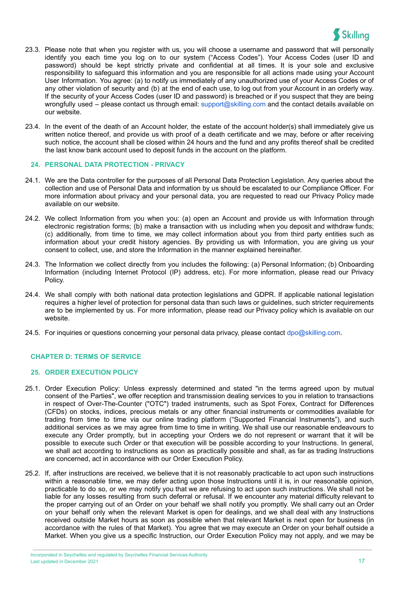

- 23.3. Please note that when you register with us, you will choose a username and password that will personally identify you each time you log on to our system ("Access Codes"). Your Access Codes (user ID and password) should be kept strictly private and confidential at all times. It is your sole and exclusive responsibility to safeguard this information and you are responsible for all actions made using your Account User Information. You agree: (a) to notify us immediately of any unauthorized use of your Access Codes or of any other violation of security and (b) at the end of each use, to log out from your Account in an orderly way. If the security of your Access Codes (user ID and password) is breached or if you suspect that they are being wrongfully used – please contact us through email: [support@skilling.com](mailto:support@skilling.com) and the contact details available on our website.
- 23.4. In the event of the death of an Account holder, the estate of the account holder(s) shall immediately give us written notice thereof, and provide us with proof of a death certificate and we may, before or after receiving such notice, the account shall be closed within 24 hours and the fund and any profits thereof shall be credited the last know bank account used to deposit funds in the account on the platform.

#### **24. PERSONAL DATA PROTECTION - PRIVACY**

- 24.1. We are the Data controller for the purposes of all Personal Data Protection Legislation. Any queries about the collection and use of Personal Data and information by us should be escalated to our Compliance Officer. For more information about privacy and your personal data, you are requested to read our Privacy Policy made available on our website.
- 24.2. We collect Information from you when you: (a) open an Account and provide us with Information through electronic registration forms; (b) make a transaction with us including when you deposit and withdraw funds; (c) additionally, from time to time, we may collect information about you from third party entities such as information about your credit history agencies. By providing us with Information, you are giving us your consent to collect, use, and store the Information in the manner explained hereinafter.
- 24.3. The Information we collect directly from you includes the following: (a) Personal Information; (b) Onboarding Information (including Internet Protocol (IP) address, etc). For more information, please read our Privacy Policy.
- 24.4. We shall comply with both national data protection legislations and GDPR. If applicable national legislation requires a higher level of protection for personal data than such laws or guidelines, such stricter requirements are to be implemented by us. For more information, please read our Privacy policy which is available on our website.
- 24.5. For inquiries or questions concerning your personal data privacy, please contact [dpo@skilling.com](mailto:dpo@skilling.com).

#### <span id="page-17-0"></span>**CHAPTER D: TERMS OF SERVICE**

#### **25. ORDER EXECUTION POLICY**

- 25.1. Order Execution Policy: Unless expressly determined and stated "in the terms agreed upon by mutual consent of the Parties", we offer reception and transmission dealing services to you in relation to transactions in respect of Over-The-Counter ("OTC") traded instruments, such as Spot Forex, Contract for Differences (CFDs) on stocks, indices, precious metals or any other financial instruments or commodities available for trading from time to time via our online trading platform ("Supported Financial Instruments"), and such additional services as we may agree from time to time in writing. We shall use our reasonable endeavours to execute any Order promptly, but in accepting your Orders we do not represent or warrant that it will be possible to execute such Order or that execution will be possible according to your Instructions. In general, we shall act according to instructions as soon as practically possible and shall, as far as trading Instructions are concerned, act in accordance with our Order Execution Policy.
- 25.2. If, after instructions are received, we believe that it is not reasonably practicable to act upon such instructions within a reasonable time, we may defer acting upon those Instructions until it is, in our reasonable opinion, practicable to do so, or we may notify you that we are refusing to act upon such instructions. We shall not be liable for any losses resulting from such deferral or refusal. If we encounter any material difficulty relevant to the proper carrying out of an Order on your behalf we shall notify you promptly. We shall carry out an Order on your behalf only when the relevant Market is open for dealings, and we shall deal with any Instructions received outside Market hours as soon as possible when that relevant Market is next open for business (in accordance with the rules of that Market). You agree that we may execute an Order on your behalf outside a Market. When you give us a specific Instruction, our Order Execution Policy may not apply, and we may be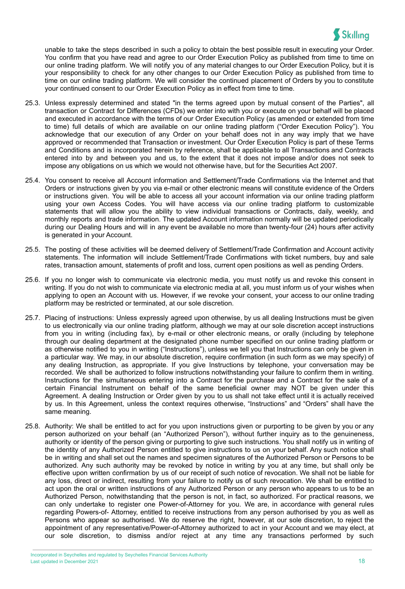

unable to take the steps described in such a policy to obtain the best possible result in executing your Order. You confirm that you have read and agree to our Order Execution Policy as published from time to time on our online trading platform. We will notify you of any material changes to our Order Execution Policy, but it is your responsibility to check for any other changes to our Order Execution Policy as published from time to time on our online trading platform. We will consider the continued placement of Orders by you to constitute your continued consent to our Order Execution Policy as in effect from time to time.

- 25.3. Unless expressly determined and stated "in the terms agreed upon by mutual consent of the Parties", all transaction or Contract for Differences (CFDs) we enter into with you or execute on your behalf will be placed and executed in accordance with the terms of our Order Execution Policy (as amended or extended from time to time) full details of which are available on our online trading platform ("Order Execution Policy"). You acknowledge that our execution of any Order on your behalf does not in any way imply that we have approved or recommended that Transaction or investment. Our Order Execution Policy is part of these Terms and Conditions and is incorporated herein by reference, shall be applicable to all Transactions and Contracts entered into by and between you and us, to the extent that it does not impose and/or does not seek to impose any obligations on us which we would not otherwise have, but for the Securities Act 2007.
- 25.4. You consent to receive all Account information and Settlement/Trade Confirmations via the Internet and that Orders or instructions given by you via e-mail or other electronic means will constitute evidence of the Orders or instructions given. You will be able to access all your account information via our online trading platform using your own Access Codes. You will have access via our online trading platform to customizable statements that will allow you the ability to view individual transactions or Contracts, daily, weekly, and monthly reports and trade information. The updated Account information normally will be updated periodically during our Dealing Hours and will in any event be available no more than twenty-four (24) hours after activity is generated in your Account.
- 25.5. The posting of these activities will be deemed delivery of Settlement/Trade Confirmation and Account activity statements. The information will include Settlement/Trade Confirmations with ticket numbers, buy and sale rates, transaction amount, statements of profit and loss, current open positions as well as pending Orders.
- 25.6. If you no longer wish to communicate via electronic media, you must notify us and revoke this consent in writing. If you do not wish to communicate via electronic media at all, you must inform us of your wishes when applying to open an Account with us. However, if we revoke your consent, your access to our online trading platform may be restricted or terminated, at our sole discretion.
- 25.7. Placing of instructions: Unless expressly agreed upon otherwise, by us all dealing Instructions must be given to us electronically via our online trading platform, although we may at our sole discretion accept instructions from you in writing (including fax), by e-mail or other electronic means, or orally (including by telephone through our dealing department at the designated phone number specified on our online trading platform or as otherwise notified to you in writing ("Instructions"), unless we tell you that Instructions can only be given in a particular way. We may, in our absolute discretion, require confirmation (in such form as we may specify) of any dealing Instruction, as appropriate. If you give Instructions by telephone, your conversation may be recorded. We shall be authorized to follow instructions notwithstanding your failure to confirm them in writing. Instructions for the simultaneous entering into a Contract for the purchase and a Contract for the sale of a certain Financial Instrument on behalf of the same beneficial owner may NOT be given under this Agreement. A dealing Instruction or Order given by you to us shall not take effect until it is actually received by us. In this Agreement, unless the context requires otherwise, "Instructions" and "Orders" shall have the same meaning.
- 25.8. Authority: We shall be entitled to act for you upon instructions given or purporting to be given by you or any person authorized on your behalf (an "Authorized Person"), without further inquiry as to the genuineness, authority or identity of the person giving or purporting to give such instructions. You shall notify us in writing of the identity of any Authorized Person entitled to give instructions to us on your behalf. Any such notice shall be in writing and shall set out the names and specimen signatures of the Authorized Person or Persons to be authorized. Any such authority may be revoked by notice in writing by you at any time, but shall only be effective upon written confirmation by us of our receipt of such notice of revocation. We shall not be liable for any loss, direct or indirect, resulting from your failure to notify us of such revocation. We shall be entitled to act upon the oral or written instructions of any Authorized Person or any person who appears to us to be an Authorized Person, notwithstanding that the person is not, in fact, so authorized. For practical reasons, we can only undertake to register one Power-of-Attorney for you. We are, in accordance with general rules regarding Powers-of- Attorney, entitled to receive instructions from any person authorised by you as well as Persons who appear so authorised. We do reserve the right, however, at our sole discretion, to reject the appointment of any representative/Power-of-Attorney authorized to act in your Account and we may elect, at our sole discretion, to dismiss and/or reject at any time any transactions performed by such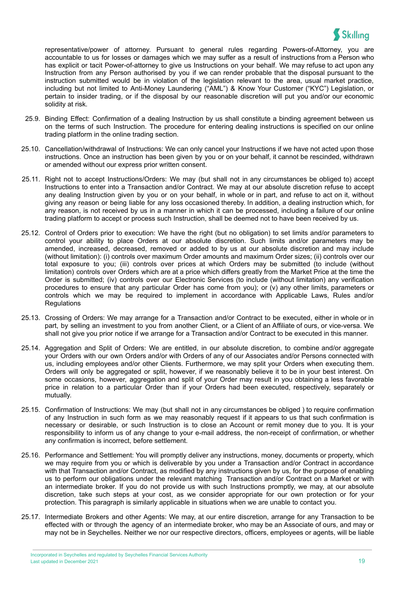

representative/power of attorney. Pursuant to general rules regarding Powers-of-Attorney, you are accountable to us for losses or damages which we may suffer as a result of instructions from a Person who has explicit or tacit Power-of-attorney to give us Instructions on your behalf. We may refuse to act upon any Instruction from any Person authorised by you if we can render probable that the disposal pursuant to the instruction submitted would be in violation of the legislation relevant to the area, usual market practice, including but not limited to Anti-Money Laundering ("AML") & Know Your Customer ("KYC") Legislation, or pertain to insider trading, or if the disposal by our reasonable discretion will put you and/or our economic solidity at risk.

- 25.9. Binding Effect: Confirmation of a dealing Instruction by us shall constitute a binding agreement between us on the terms of such Instruction. The procedure for entering dealing instructions is specified on our online trading platform in the online trading section.
- 25.10. Cancellation/withdrawal of Instructions: We can only cancel your Instructions if we have not acted upon those instructions. Once an instruction has been given by you or on your behalf, it cannot be rescinded, withdrawn or amended without our express prior written consent.
- 25.11. Right not to accept Instructions/Orders: We may (but shall not in any circumstances be obliged to) accept Instructions to enter into a Transaction and/or Contract. We may at our absolute discretion refuse to accept any dealing Instruction given by you or on your behalf, in whole or in part, and refuse to act on it, without giving any reason or being liable for any loss occasioned thereby. In addition, a dealing instruction which, for any reason, is not received by us in a manner in which it can be processed, including a failure of our online trading platform to accept or process such Instruction, shall be deemed not to have been received by us.
- 25.12. Control of Orders prior to execution: We have the right (but no obligation) to set limits and/or parameters to control your ability to place Orders at our absolute discretion. Such limits and/or parameters may be amended, increased, decreased, removed or added to by us at our absolute discretion and may include (without limitation): (i) controls over maximum Order amounts and maximum Order sizes; (ii) controls over our total exposure to you; (iii) controls over prices at which Orders may be submitted (to include (without limitation) controls over Orders which are at a price which differs greatly from the Market Price at the time the Order is submitted; (iv) controls over our Electronic Services (to include (without limitation) any verification procedures to ensure that any particular Order has come from you); or (v) any other limits, parameters or controls which we may be required to implement in accordance with Applicable Laws, Rules and/or **Regulations**
- 25.13. Crossing of Orders: We may arrange for a Transaction and/or Contract to be executed, either in whole or in part, by selling an investment to you from another Client, or a Client of an Affiliate of ours, or vice-versa. We shall not give you prior notice if we arrange for a Transaction and/or Contract to be executed in this manner.
- 25.14. Aggregation and Split of Orders: We are entitled, in our absolute discretion, to combine and/or aggregate your Orders with our own Orders and/or with Orders of any of our Associates and/or Persons connected with us, including employees and/or other Clients. Furthermore, we may split your Orders when executing them. Orders will only be aggregated or split, however, if we reasonably believe it to be in your best interest. On some occasions, however, aggregation and split of your Order may result in you obtaining a less favorable price in relation to a particular Order than if your Orders had been executed, respectively, separately or mutually.
- 25.15. Confirmation of Instructions: We may (but shall not in any circumstances be obliged ) to require confirmation of any Instruction in such form as we may reasonably request if it appears to us that such confirmation is necessary or desirable, or such Instruction is to close an Account or remit money due to you. It is your responsibility to inform us of any change to your e-mail address, the non-receipt of confirmation, or whether any confirmation is incorrect, before settlement.
- 25.16. Performance and Settlement: You will promptly deliver any instructions, money, documents or property, which we may require from you or which is deliverable by you under a Transaction and/or Contract in accordance with that Transaction and/or Contract, as modified by any instructions given by us, for the purpose of enabling us to perform our obligations under the relevant matching Transaction and/or Contract on a Market or with an intermediate broker. If you do not provide us with such Instructions promptly, we may, at our absolute discretion, take such steps at your cost, as we consider appropriate for our own protection or for your protection. This paragraph is similarly applicable in situations when we are unable to contact you.
- 25.17. Intermediate Brokers and other Agents: We may, at our entire discretion, arrange for any Transaction to be effected with or through the agency of an intermediate broker, who may be an Associate of ours, and may or may not be in Seychelles. Neither we nor our respective directors, officers, employees or agents, will be liable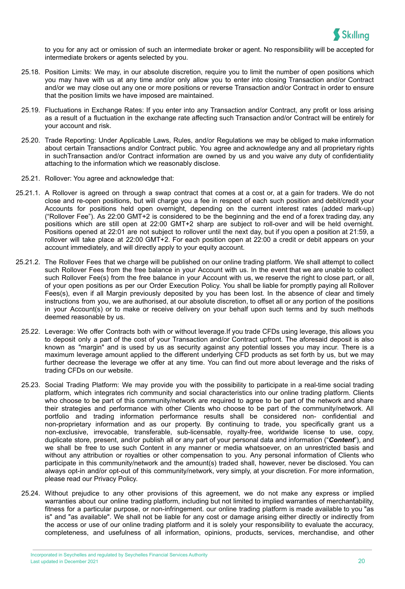

to you for any act or omission of such an intermediate broker or agent. No responsibility will be accepted for intermediate brokers or agents selected by you.

- 25.18. Position Limits: We may, in our absolute discretion, require you to limit the number of open positions which you may have with us at any time and/or only allow you to enter into closing Transaction and/or Contract and/or we may close out any one or more positions or reverse Transaction and/or Contract in order to ensure that the position limits we have imposed are maintained.
- 25.19. Fluctuations in Exchange Rates: If you enter into any Transaction and/or Contract, any profit or loss arising as a result of a fluctuation in the exchange rate affecting such Transaction and/or Contract will be entirely for your account and risk.
- 25.20. Trade Reporting: Under Applicable Laws, Rules, and/or Regulations we may be obliged to make information about certain Transactions and/or Contract public. You agree and acknowledge any and all proprietary rights in suchTransaction and/or Contract information are owned by us and you waive any duty of confidentiality attaching to the information which we reasonably disclose.
- 25.21. Rollover: You agree and acknowledge that:
- 25.21.1. A Rollover is agreed on through a swap contract that comes at a cost or, at a gain for traders. We do not close and re-open positions, but will charge you a fee in respect of each such position and debit/credit your Accounts for positions held open overnight, depending on the current interest rates (added mark-up) ("Rollover Fee"). As 22:00 GMT+2 is considered to be the beginning and the end of a forex trading day, any positions which are still open at 22:00 GMT+2 sharp are subject to roll-over and will be held overnight. Positions opened at 22:01 are not subject to rollover until the next day, but if you open a position at 21:59, a rollover will take place at 22:00 GMT+2. For each position open at 22:00 a credit or debit appears on your account immediately, and will directly apply to your equity account.
- 25.21.2. The Rollover Fees that we charge will be published on our online trading platform. We shall attempt to collect such Rollover Fees from the free balance in your Account with us. In the event that we are unable to collect such Rollover Fee(s) from the free balance in your Account with us, we reserve the right to close part, or all, of your open positions as per our Order Execution Policy. You shall be liable for promptly paying all Rollover Fees(s), even if all Margin previously deposited by you has been lost. In the absence of clear and timely instructions from you, we are authorised, at our absolute discretion, to offset all or any portion of the positions in your Account(s) or to make or receive delivery on your behalf upon such terms and by such methods deemed reasonable by us.
	- 25.22. Leverage: We offer Contracts both with or without leverage.If you trade CFDs using leverage, this allows you to deposit only a part of the cost of your Transaction and/or Contract upfront. The aforesaid deposit is also known as "margin" and is used by us as security against any potential losses you may incur. There is a maximum leverage amount applied to the different underlying CFD products as set forth by us, but we may further decrease the leverage we offer at any time. You can find out more about leverage and the risks of trading CFDs on our [website.](https://support.skilling.com/hc/en-gb/sections/360003412140-Skilling-Ltd?_ga=2.90599902.555626914.1628171576-505616111.1591371687&_gac=1.183257684.1625650988.CjwKCAjwoZWHBhBgEiwAiMN66ZfUaUTFyBOAPIxi8Y9Dp4w4p3-SZ220HW6jszIijWnNuvDD4paApRoCcrgQAvD_BwE)
	- 25.23. Social Trading Platform: We may provide you with the possibility to participate in a real-time social trading platform, which integrates rich community and social characteristics into our online trading platform. Clients who choose to be part of this community/network are required to agree to be part of the network and share their strategies and performance with other Clients who choose to be part of the community/network. All portfolio and trading information performance results shall be considered non- confidential and non-proprietary information and as our property. By continuing to trade, you specifically grant us a non-exclusive, irrevocable, transferable, sub-licensable, royalty-free, worldwide license to use, copy, duplicate store, present, and/or publish all or any part of your personal data and information ("*Content*"), and we shall be free to use such Content in any manner or media whatsoever, on an unrestricted basis and without any attribution or royalties or other compensation to you. Any personal information of Clients who participate in this community/network and the amount(s) traded shall, however, never be disclosed. You can always opt-in and/or opt-out of this community/network, very simply, at your discretion. For more information, please read our Privacy Policy.
	- 25.24. Without prejudice to any other provisions of this agreement, we do not make any express or implied warranties about our online trading platform, including but not limited to implied warranties of merchantability, fitness for a particular purpose, or non-infringement. our online trading platform is made available to you "as is" and "as available". We shall not be liable for any cost or damage arising either directly or indirectly from the access or use of our online trading platform and it is solely your responsibility to evaluate the accuracy, completeness, and usefulness of all information, opinions, products, services, merchandise, and other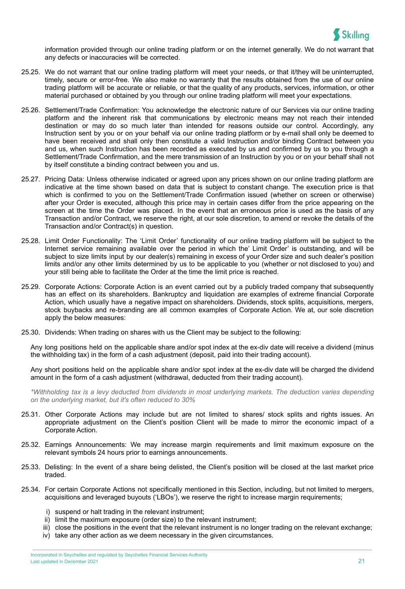

information provided through our online trading platform or on the internet generally. We do not warrant that any defects or inaccuracies will be corrected.

- 25.25. We do not warrant that our online trading platform will meet your needs, or that it/they will be uninterrupted, timely, secure or error-free. We also make no warranty that the results obtained from the use of our online trading platform will be accurate or reliable, or that the quality of any products, services, information, or other material purchased or obtained by you through our online trading platform will meet your expectations.
- 25.26. Settlement/Trade Confirmation: You acknowledge the electronic nature of our Services via our online trading platform and the inherent risk that communications by electronic means may not reach their intended destination or may do so much later than intended for reasons outside our control. Accordingly, any Instruction sent by you or on your behalf via our online trading platform or by e-mail shall only be deemed to have been received and shall only then constitute a valid Instruction and/or binding Contract between you and us, when such Instruction has been recorded as executed by us and confirmed by us to you through a Settlement/Trade Confirmation, and the mere transmission of an Instruction by you or on your behalf shall not by itself constitute a binding contract between you and us.
- 25.27. Pricing Data: Unless otherwise indicated or agreed upon any prices shown on our online trading platform are indicative at the time shown based on data that is subject to constant change. The execution price is that which is confirmed to you on the Settlement/Trade Confirmation issued (whether on screen or otherwise) after your Order is executed, although this price may in certain cases differ from the price appearing on the screen at the time the Order was placed. In the event that an erroneous price is used as the basis of any Transaction and/or Contract, we reserve the right, at our sole discretion, to amend or revoke the details of the Transaction and/or Contract(s) in question.
- 25.28. Limit Order Functionality: The 'Limit Order' functionality of our online trading platform will be subject to the Internet service remaining available over the period in which the' Limit Order' is outstanding, and will be subject to size limits input by our dealer(s) remaining in excess of your Order size and such dealer's position limits and/or any other limits determined by us to be applicable to you (whether or not disclosed to you) and your still being able to facilitate the Order at the time the limit price is reached.
- 25.29. Corporate Actions: Corporate Action is an event carried out by a publicly traded company that subsequently has an effect on its shareholders. Bankruptcy and liquidation are examples of extreme financial Corporate Action, which usually have a negative impact on shareholders. Dividends, stock splits, acquisitions, mergers, stock buybacks and re-branding are all common examples of Corporate Action. We at, our sole discretion apply the below measures:
- 25.30. Dividends: When trading on [shares](https://skilling.com/eu/en/markets/shares/) with us the Client may be subject to the following:

Any long positions held on the applicable share and/or spot index at the ex-div date will receive a dividend (minus the withholding tax) in the form of a cash adjustment (deposit, paid into their trading account).

Any short positions held on the applicable share and/or spot index at the ex-div date will be charged the dividend amount in the form of a cash adjustment (withdrawal, deducted from their trading account).

*\*Withholding tax is a levy deducted from dividends in most underlying markets. The deduction varies depending on the underlying market, but it's often reduced to 30%*

- 25.31. Other Corporate Actions may include but are not limited to [shares](https://skilling.com/eu/en/markets/shares/)/ stock splits and rights issues. An appropriate adjustment on the Client's position Client will be made to mirror the economic impact of a Corporate Action.
- 25.32. Earnings Announcements: We may increase margin requirements and limit maximum exposure on the relevant symbols 24 hours prior to earnings announcements.
- 25.33. Delisting: In the event of a share being delisted, the Client's position will be closed at the last market price traded.
- 25.34. For certain Corporate Actions not specifically mentioned in this Section, including, but not limited to mergers, acquisitions and leveraged buyouts ('LBOs'), we reserve the right to increase margin requirements;
	- i) suspend or halt trading in the relevant instrument;
	- ii) limit the maximum exposure (order size) to the relevant instrument;
	- iii) close the positions in the event that the relevant instrument is no longer trading on the relevant exchange;
	- iv) take any other action as we deem necessary in the given circumstances.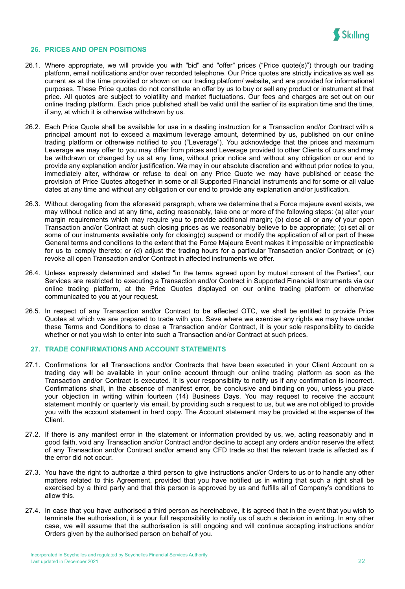

#### **26. PRICES AND OPEN POSITIONS**

- 26.1. Where appropriate, we will provide you with "bid" and "offer" prices ("Price quote(s)") through our trading platform, email notifications and/or over recorded telephone. Our Price quotes are strictly indicative as well as current as at the time provided or shown on our trading platform/ website, and are provided for informational purposes. These Price quotes do not constitute an offer by us to buy or sell any product or instrument at that price. All quotes are subject to volatility and market fluctuations. Our fees and charges are set out on our online trading platform. Each price published shall be valid until the earlier of its expiration time and the time, if any, at which it is otherwise withdrawn by us.
- 26.2. Each Price Quote shall be available for use in a dealing instruction for a Transaction and/or Contract with a principal amount not to exceed a maximum leverage amount, determined by us, published on our online trading platform or otherwise notified to you ("Leverage"). You acknowledge that the prices and maximum Leverage we may offer to you may differ from prices and Leverage provided to other Clients of ours and may be withdrawn or changed by us at any time, without prior notice and without any obligation or our end to provide any explanation and/or justification. We may in our absolute discretion and without prior notice to you, immediately alter, withdraw or refuse to deal on any Price Quote we may have published or cease the provision of Price Quotes altogether in some or all Supported Financial Instruments and for some or all value dates at any time and without any obligation or our end to provide any explanation and/or justification.
- 26.3. Without derogating from the aforesaid paragraph, where we determine that a Force majeure event exists, we may without notice and at any time, acting reasonably, take one or more of the following steps: (a) alter your margin requirements which may require you to provide additional margin; (b) close all or any of your open Transaction and/or Contract at such closing prices as we reasonably believe to be appropriate; (c) set all or some of our instruments available only for closing(c) suspend or modify the application of all or part of these General terms and conditions to the extent that the Force Majeure Event makes it impossible or impracticable for us to comply thereto; or (d) adjust the trading hours for a particular Transaction and/or Contract; or (e) revoke all open Transaction and/or Contract in affected instruments we offer.
- 26.4. Unless expressly determined and stated "in the terms agreed upon by mutual consent of the Parties", our Services are restricted to executing a Transaction and/or Contract in Supported Financial Instruments via our online trading platform, at the Price Quotes displayed on our online trading platform or otherwise communicated to you at your request.
- 26.5. In respect of any Transaction and/or Contract to be affected OTC, we shall be entitled to provide Price Quotes at which we are prepared to trade with you. Save where we exercise any rights we may have under these Terms and Conditions to close a Transaction and/or Contract, it is your sole responsibility to decide whether or not you wish to enter into such a Transaction and/or Contract at such prices.

#### **27. TRADE CONFIRMATIONS AND ACCOUNT STATEMENTS**

- 27.1. Confirmations for all Transactions and/or Contracts that have been executed in your Client Account on a trading day will be available in your online account through our online trading platform as soon as the Transaction and/or Contract is executed. It is your responsibility to notify us if any confirmation is incorrect. Confirmations shall, in the absence of manifest error, be conclusive and binding on you, unless you place your objection in writing within fourteen (14) Business Days. You may request to receive the account statement monthly or quarterly via email, by providing such a request to us, but we are not obliged to provide you with the account statement in hard copy. The Account statement may be provided at the expense of the Client.
- 27.2. If there is any manifest error in the statement or information provided by us, we, acting reasonably and in good faith, void any Transaction and/or Contract and/or decline to accept any orders and/or reserve the effect of any Transaction and/or Contract and/or amend any CFD trade so that the relevant trade is affected as if the error did not occur.
- 27.3. You have the right to authorize a third person to give instructions and/or Orders to us or to handle any other matters related to this Agreement, provided that you have notified us in writing that such a right shall be exercised by a third party and that this person is approved by us and fulfills all of Company's conditions to allow this.
- 27.4. In case that you have authorised a third person as hereinabove, it is agreed that in the event that you wish to terminate the authorisation, it is your full responsibility to notify us of such a decision in writing. In any other case, we will assume that the authorisation is still ongoing and will continue accepting instructions and/or Orders given by the authorised person on behalf of you.

Incorporated in Seychelles and regulated by Seychelles Financial Services Authority Last updated in December 2021 22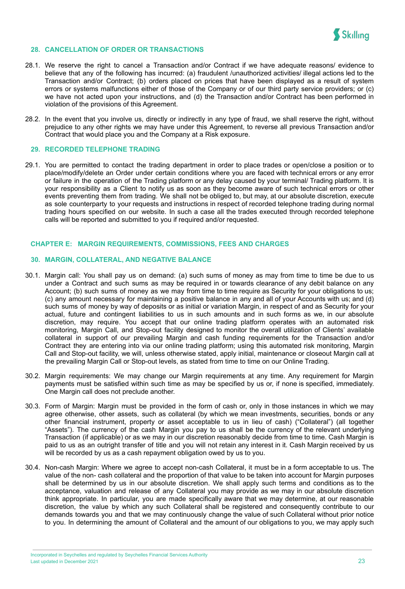

#### **28. CANCELLATION OF ORDER OR TRANSACTIONS**

- 28.1. We reserve the right to cancel a Transaction and/or Contract if we have adequate reasons/ evidence to believe that any of the following has incurred: (a) fraudulent /unauthorized activities/ illegal actions led to the Transaction and/or Contract; (b) orders placed on prices that have been displayed as a result of system errors or systems malfunctions either of those of the Company or of our third party service providers; or (c) we have not acted upon your instructions, and (d) the Transaction and/or Contract has been performed in violation of the provisions of this Agreement.
- 28.2. In the event that you involve us, directly or indirectly in any type of fraud, we shall reserve the right, without prejudice to any other rights we may have under this Agreement, to reverse all previous Transaction and/or Contract that would place you and the Company at a Risk exposure.

#### **29. RECORDED TELEPHONE TRADING**

29.1. You are permitted to contact the trading department in order to place trades or open/close a position or to place/modify/delete an Order under certain conditions where you are faced with technical errors or any error or failure in the operation of the Trading platform or any delay caused by your terminal/ Trading platform. It is your responsibility as a Client to notify us as soon as they become aware of such technical errors or other events preventing them from trading. We shall not be obliged to, but may, at our absolute discretion, execute as sole counterparty to your requests and instructions in respect of recorded telephone trading during normal trading hours specified on our website. In such a case all the trades executed through recorded telephone calls will be reported and submitted to you if required and/or requested.

#### <span id="page-23-0"></span>**CHAPTER E: MARGIN REQUIREMENTS, COMMISSIONS, FEES AND CHARGES**

#### **30. MARGIN, COLLATERAL, AND NEGATIVE BALANCE**

- 30.1. Margin call: You shall pay us on demand: (a) such sums of money as may from time to time be due to us under a Contract and such sums as may be required in or towards clearance of any debit balance on any Account; (b) such sums of money as we may from time to time require as Security for your obligations to us; (c) any amount necessary for maintaining a positive balance in any and all of your Accounts with us; and (d) such sums of money by way of deposits or as initial or variation Margin, in respect of and as Security for your actual, future and contingent liabilities to us in such amounts and in such forms as we, in our absolute discretion, may require. You accept that our online trading platform operates with an automated risk monitoring, Margin Call, and Stop-out facility designed to monitor the overall utilization of Clients' available collateral in support of our prevailing Margin and cash funding requirements for the Transaction and/or Contract they are entering into via our online trading platform; using this automated risk monitoring, Margin Call and Stop-out facility, we will, unless otherwise stated, apply initial, maintenance or closeout Margin call at the prevailing Margin Call or Stop-out levels, as stated from time to time on our Online Trading.
- 30.2. Margin requirements: We may change our Margin requirements at any time. Any requirement for Margin payments must be satisfied within such time as may be specified by us or, if none is specified, immediately. One Margin call does not preclude another.
- 30.3. Form of Margin: Margin must be provided in the form of cash or, only in those instances in which we may agree otherwise, other assets, such as collateral (by which we mean investments, securities, bonds or any other financial instrument, property or asset acceptable to us in lieu of cash) ("Collateral") (all together "Assets"). The currency of the cash Margin you pay to us shall be the currency of the relevant underlying Transaction (if applicable) or as we may in our discretion reasonably decide from time to time. Cash Margin is paid to us as an outright transfer of title and you will not retain any interest in it. Cash Margin received by us will be recorded by us as a cash repayment obligation owed by us to you.
- 30.4. Non-cash Margin: Where we agree to accept non-cash Collateral, it must be in a form acceptable to us. The value of the non- cash collateral and the proportion of that value to be taken into account for Margin purposes shall be determined by us in our absolute discretion. We shall apply such terms and conditions as to the acceptance, valuation and release of any Collateral you may provide as we may in our absolute discretion think appropriate. In particular, you are made specifically aware that we may determine, at our reasonable discretion, the value by which any such Collateral shall be registered and consequently contribute to our demands towards you and that we may continuously change the value of such Collateral without prior notice to you. In determining the amount of Collateral and the amount of our obligations to you, we may apply such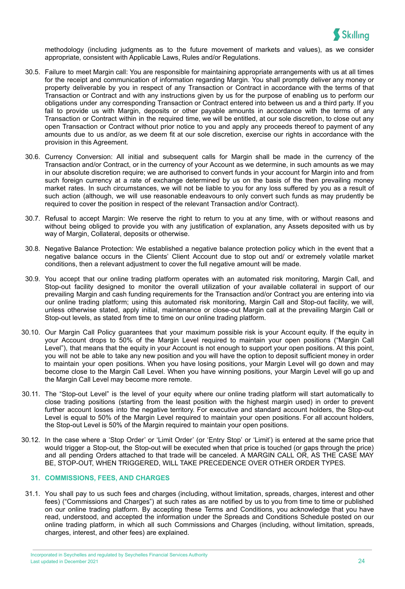

methodology (including judgments as to the future movement of markets and values), as we consider appropriate, consistent with Applicable Laws, Rules and/or Regulations.

- 30.5. Failure to meet Margin call: You are responsible for maintaining appropriate arrangements with us at all times for the receipt and communication of information regarding Margin. You shall promptly deliver any money or property deliverable by you in respect of any Transaction or Contract in accordance with the terms of that Transaction or Contract and with any instructions given by us for the purpose of enabling us to perform our obligations under any corresponding Transaction or Contract entered into between us and a third party. If you fail to provide us with Margin, deposits or other payable amounts in accordance with the terms of any Transaction or Contract within in the required time, we will be entitled, at our sole discretion, to close out any open Transaction or Contract without prior notice to you and apply any proceeds thereof to payment of any amounts due to us and/or, as we deem fit at our sole discretion, exercise our rights in accordance with the provision in this Agreement.
- 30.6. Currency Conversion: All initial and subsequent calls for Margin shall be made in the currency of the Transaction and/or Contract, or in the currency of your Account as we determine, in such amounts as we may in our absolute discretion require; we are authorised to convert funds in your account for Margin into and from such foreign currency at a rate of exchange determined by us on the basis of the then prevailing money market rates. In such circumstances, we will not be liable to you for any loss suffered by you as a result of such action (although, we will use reasonable endeavours to only convert such funds as may prudently be required to cover the position in respect of the relevant Transaction and/or Contract).
- 30.7. Refusal to accept Margin: We reserve the right to return to you at any time, with or without reasons and without being obliged to provide you with any justification of explanation, any Assets deposited with us by way of Margin, Collateral, deposits or otherwise.
- 30.8. Negative Balance Protection: We established a negative balance protection policy which in the event that a negative balance occurs in the Clients' Client Account due to stop out and/ or extremely volatile market conditions, then a relevant adjustment to cover the full negative amount will be made.
- 30.9. You accept that our online trading platform operates with an automated risk monitoring, Margin Call, and Stop-out facility designed to monitor the overall utilization of your available collateral in support of our prevailing Margin and cash funding requirements for the Transaction and/or Contract you are entering into via our online trading platform; using this automated risk monitoring, Margin Call and Stop-out facility, we will, unless otherwise stated, apply initial, maintenance or close-out Margin call at the prevailing Margin Call or Stop-out levels, as stated from time to time on our online trading platform.
- 30.10. Our Margin Call Policy guarantees that your maximum possible risk is your Account equity. If the equity in your Account drops to 50% of the Margin Level required to maintain your open positions ("Margin Call Level"), that means that the equity in your Account is not enough to support your open positions. At this point, you will not be able to take any new position and you will have the option to deposit sufficient money in order to maintain your open positions. When you have losing positions, your Margin Level will go down and may become close to the Margin Call Level. When you have winning positions, your Margin Level will go up and the Margin Call Level may become more remote.
- 30.11. The "Stop-out Level" is the level of your equity where our online trading platform will start automatically to close trading positions (starting from the least position with the highest margin used) in order to prevent further account losses into the negative territory. For executive and standard account holders, the Stop-out Level is equal to 50% of the Margin Level required to maintain your open positions. For all account holders, the Stop-out Level is 50% of the Margin required to maintain your open positions.
- 30.12. In the case where a 'Stop Order' or 'Limit Order' (or 'Entry Stop' or 'Limit') is entered at the same price that would trigger a Stop-out, the Stop-out will be executed when that price is touched (or gaps through the price) and all pending Orders attached to that trade will be canceled. A MARGIN CALL OR, AS THE CASE MAY BE, STOP-OUT, WHEN TRIGGERED, WILL TAKE PRECEDENCE OVER OTHER ORDER TYPES.

## **31. COMMISSIONS, FEES, AND CHARGES**

31.1. You shall pay to us such fees and charges (including, without limitation, spreads, charges, interest and other fees) ("Commissions and Charges") at such rates as are notified by us to you from time to time or published on our online trading platform. By accepting these Terms and Conditions, you acknowledge that you have read, understood, and accepted the information under the Spreads and Conditions Schedule posted on our online trading platform, in which all such Commissions and Charges (including, without limitation, spreads, charges, interest, and other fees) are explained.

Incorporated in Seychelles and regulated by Seychelles Financial Services Authority Last updated in December 2021 24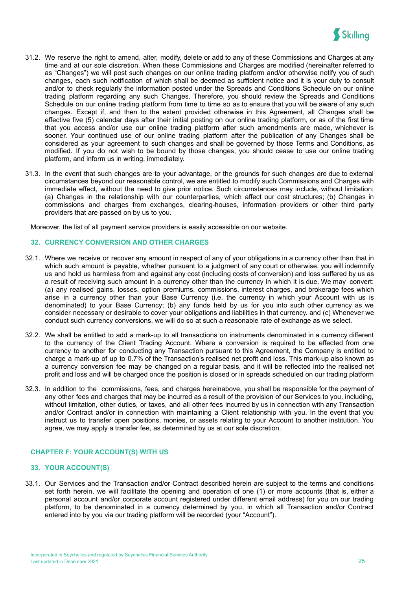

- 31.2. We reserve the right to amend, alter, modify, delete or add to any of these Commissions and Charges at any time and at our sole discretion. When these Commissions and Charges are modified (hereinafter referred to as "Changes") we will post such changes on our online trading platform and/or otherwise notify you of such changes, each such notification of which shall be deemed as sufficient notice and it is your duty to consult and/or to check regularly the information posted under the Spreads and Conditions Schedule on our online trading platform regarding any such Changes. Therefore, you should review the Spreads and Conditions Schedule on our online trading platform from time to time so as to ensure that you will be aware of any such changes. Except if, and then to the extent provided otherwise in this Agreement, all Changes shall be effective five (5) calendar days after their initial posting on our online trading platform, or as of the first time that you access and/or use our online trading platform after such amendments are made, whichever is sooner. Your continued use of our online trading platform after the publication of any Changes shall be considered as your agreement to such changes and shall be governed by those Terms and Conditions, as modified. If you do not wish to be bound by those changes, you should cease to use our online trading platform, and inform us in writing, immediately.
- 31.3. In the event that such changes are to your advantage, or the grounds for such changes are due to external circumstances beyond our reasonable control, we are entitled to modify such Commissions and Charges with immediate effect, without the need to give prior notice. Such circumstances may include, without limitation: (a) Changes in the relationship with our counterparties, which affect our cost structures; (b) Changes in commissions and charges from exchanges, clearing-houses, information providers or other third party providers that are passed on by us to you.

Moreover, the list of all payment service providers is easily accessible on our websi[te](https://support.skilling.com/hc/en-gb/articles/209540725-Payment-methods?_ga=2.119560904.1137288755.1586192446-460834012.1548328054&_gac=1.247139984.1586251080.eaiaiqobchmi0ukq3_3v6aivvfhrch38ogwdeaayasaaegjaa_d_bwe).

#### **32. CURRENCY CONVERSION AND OTHER CHARGES**

- 32.1. Where we receive or recover any amount in respect of any of your obligations in a currency other than that in which such amount is payable, whether pursuant to a judgment of any court or otherwise, you will indemnify us and hold us harmless from and against any cost (including costs of conversion) and loss suffered by us as a result of receiving such amount in a currency other than the currency in which it is due. We may convert: (a) any realised gains, losses, option premiums, commissions, interest charges, and brokerage fees which arise in a currency other than your Base Currency (i.e. the currency in which your Account with us is denominated) to your Base Currency; (b) any funds held by us for you into such other currency as we consider necessary or desirable to cover your obligations and liabilities in that currency. and (c) Whenever we conduct such currency conversions, we will do so at such a reasonable rate of exchange as we select.
- 32.2. We shall be entitled to add a mark-up to all transactions on instruments denominated in a currency different to the currency of the Client Trading Account. Where a conversion is required to be effected from one currency to another for conducting any Transaction pursuant to this Agreement, the Company is entitled to charge a mark-up of up to 0.7% of the Transaction's realised net profit and loss. This mark-up also known as a currency conversion fee may be changed on a regular basis, and it will be reflected into the realised net profit and loss and will be charged once the position is closed or in spreads scheduled on our trading platform
- 32.3. In addition to the commissions, fees, and charges hereinabove, you shall be responsible for the payment of any other fees and charges that may be incurred as a result of the provision of our Services to you, including, without limitation, other duties, or taxes, and all other fees incurred by us in connection with any Transaction and/or Contract and/or in connection with maintaining a Client relationship with you. In the event that you instruct us to transfer open positions, monies, or assets relating to your Account to another institution. You agree, we may apply a transfer fee, as determined by us at our sole discretion.

## <span id="page-25-0"></span>**CHAPTER F: YOUR ACCOUNT(S) WITH US**

#### **33. YOUR ACCOUNT(S)**

33.1. Our Services and the Transaction and/or Contract described herein are subject to the terms and conditions set forth herein, we will facilitate the opening and operation of one (1) or more accounts (that is, either a personal account and/or corporate account registered under different email address) for you on our trading platform, to be denominated in a currency determined by you, in which all Transaction and/or Contract entered into by you via our trading platform will be recorded (your "Account").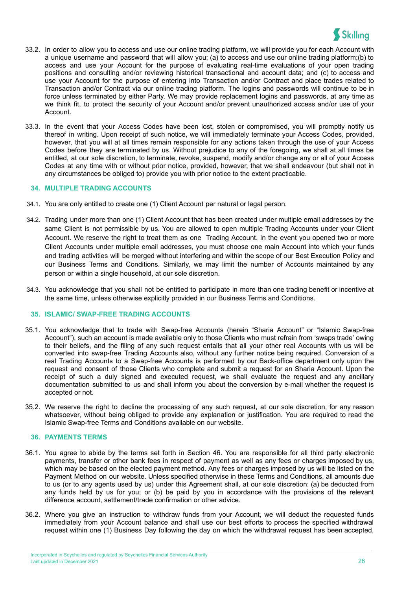

- 33.2. In order to allow you to access and use our online trading platform, we will provide you for each Account with a unique username and password that will allow you; (a) to access and use our online trading platform;(b) to access and use your Account for the purpose of evaluating real-time evaluations of your open trading positions and consulting and/or reviewing historical transactional and account data; and (c) to access and use your Account for the purpose of entering into Transaction and/or Contract and place trades related to Transaction and/or Contract via our online trading platform. The logins and passwords will continue to be in force unless terminated by either Party. We may provide replacement logins and passwords, at any time as we think fit, to protect the security of your Account and/or prevent unauthorized access and/or use of your Account.
- 33.3. In the event that your Access Codes have been lost, stolen or compromised, you will promptly notify us thereof in writing. Upon receipt of such notice, we will immediately terminate your Access Codes, provided, however, that you will at all times remain responsible for any actions taken through the use of your Access Codes before they are terminated by us. Without prejudice to any of the foregoing, we shall at all times be entitled, at our sole discretion, to terminate, revoke, suspend, modify and/or change any or all of your Access Codes at any time with or without prior notice, provided, however, that we shall endeavour (but shall not in any circumstances be obliged to) provide you with prior notice to the extent practicable.

#### **34. MULTIPLE TRADING ACCOUNTS**

- 34.1. You are only entitled to create one (1) Client Account per natural or legal person.
- 34.2. Trading under more than one (1) Client Account that has been created under multiple email addresses by the same Client is not permissible by us. You are allowed to open multiple Trading Accounts under your Client Account. We reserve the right to treat them as one Trading Account. In the event you opened two or more Client Accounts under multiple email addresses, you must choose one main Account into which your funds and trading activities will be merged without interfering and within the scope of our Best Execution Policy and our Business Terms and Conditions. Similarly, we may limit the number of Accounts maintained by any person or within a single household, at our sole discretion.
- 34.3. You acknowledge that you shall not be entitled to participate in more than one trading benefit or incentive at the same time, unless otherwise explicitly provided in our Business Terms and Conditions.

## **35. ISLAMIC/ SWAP-FREE TRADING ACCOUNTS**

- 35.1. You acknowledge that to trade with Swap-free Accounts (herein "Sharia Account" or "Islamic Swap-free Account"), such an account is made available only to those Clients who must refrain from 'swaps trade' owing to their beliefs, and the filing of any such request entails that all your other real Accounts with us will be converted into swap-free Trading Accounts also, without any further notice being required. Conversion of a real Trading Accounts to a Swap-free Accounts is performed by our Back-office department only upon the request and consent of those Clients who complete and submit a request for an Sharia Account. Upon the receipt of such a duly signed and executed request, we shall evaluate the request and any ancillary documentation submitted to us and shall inform you about the conversion by e-mail whether the request is accepted or not.
- 35.2. We reserve the right to decline the processing of any such request, at our sole discretion, for any reason whatsoever, without being obliged to provide any explanation or justification. You are required to read the Islamic Swap-free Terms and Conditions available on our website.

#### **36. PAYMENTS TERMS**

- 36.1. You agree to abide by the terms set forth in Section 46. You are responsible for all third party electronic payments, transfer or other bank fees in respect of payment as well as any fees or charges imposed by us, which may be based on the elected payment method. Any fees or charges imposed by us will be listed on the Payment Method on our website. Unless specified otherwise in these Terms and Conditions, all amounts due to us (or to any agents used by us) under this Agreement shall, at our sole discretion: (a) be deducted from any funds held by us for you; or (b) be paid by you in accordance with the provisions of the relevant difference account, settlement/trade confirmation or other advice.
- 36.2. Where you give an instruction to withdraw funds from your Account, we will deduct the requested funds immediately from your Account balance and shall use our best efforts to process the specified withdrawal request within one (1) Business Day following the day on which the withdrawal request has been accepted,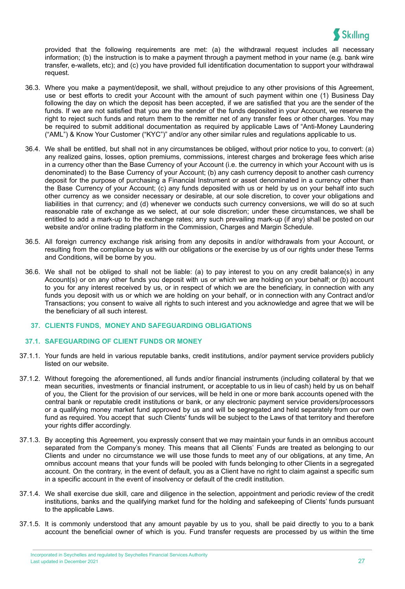

provided that the following requirements are met: (a) the withdrawal request includes all necessary information; (b) the instruction is to make a payment through a payment method in your name (e.g. bank wire transfer, e-wallets, etc); and (c) you have provided full identification documentation to support your withdrawal request.

- 36.3. Where you make a payment/deposit, we shall, without prejudice to any other provisions of this Agreement, use or best efforts to credit your Account with the amount of such payment within one (1) Business Day following the day on which the deposit has been accepted, if we are satisfied that you are the sender of the funds. If we are not satisfied that you are the sender of the funds deposited in your Account, we reserve the right to reject such funds and return them to the remitter net of any transfer fees or other charges. You may be required to submit additional documentation as required by applicable Laws of "Anti-Money Laundering ("AML") & Know Your Customer ("KYC")" and/or any other similar rules and regulations applicable to us.
- 36.4. We shall be entitled, but shall not in any circumstances be obliged, without prior notice to you, to convert: (a) any realized gains, losses, option premiums, commissions, interest charges and brokerage fees which arise in a currency other than the Base Currency of your Account (i.e. the currency in which your Account with us is denominated) to the Base Currency of your Account; (b) any cash currency deposit to another cash currency deposit for the purpose of purchasing a Financial Instrument or asset denominated in a currency other than the Base Currency of your Account; (c) any funds deposited with us or held by us on your behalf into such other currency as we consider necessary or desirable, at our sole discretion, to cover your obligations and liabilities in that currency; and (d) whenever we conducts such currency conversions, we will do so at such reasonable rate of exchange as we select, at our sole discretion; under these circumstances, we shall be entitled to add a mark-up to the exchange rates; any such prevailing mark-up (if any) shall be posted on our website and/or online trading platform in the Commission, Charges and Margin Schedule.
- 36.5. All foreign currency exchange risk arising from any deposits in and/or withdrawals from your Account, or resulting from the compliance by us with our obligations or the exercise by us of our rights under these Terms and Conditions, will be borne by you.
- 36.6. We shall not be obliged to shall not be liable: (a) to pay interest to you on any credit balance(s) in any Account(s) or on any other funds you deposit with us or which we are holding on your behalf; or (b) account to you for any interest received by us, or in respect of which we are the beneficiary, in connection with any funds you deposit with us or which we are holding on your behalf, or in connection with any Contract and/or Transactions; you consent to waive all rights to such interest and you acknowledge and agree that we will be the beneficiary of all such interest.
	- **37. CLIENTS FUNDS, MONEY AND SAFEGUARDING OBLIGATIONS**

#### **37.1. SAFEGUARDING OF CLIENT FUNDS OR MONEY**

- 37.1.1. Your funds are held in various reputable banks, credit institutions, and/or payment service providers publicly listed on our [website](https://support.skilling.com/hc/en-gb/articles/209540725-Payment-methods).
- 37.1.2. Without foregoing the aforementioned, all funds and/or financial instruments (including collateral by that we mean securities, investments or financial instrument, or acceptable to us in lieu of cash) held by us on behalf of you, the Client for the provision of our services, will be held in one or more bank accounts opened with the central bank or reputable credit institutions or bank, or any electronic payment service providers/processors or a qualifying money market fund approved by us and will be segregated and held separately from our own fund as required. You accept that such Clients' funds will be subject to the Laws of that territory and therefore your rights differ accordingly.
- 37.1.3. By accepting this Agreement, you expressly consent that we may maintain your funds in an omnibus account separated from the Company's money. This means that all Clients' Funds are treated as belonging to our Clients and under no circumstance we will use those funds to meet any of our obligations, at any time, An omnibus account means that your funds will be pooled with funds belonging to other Clients in a segregated account. On the contrary, in the event of default, you as a Client have no right to claim against a specific sum in a specific account in the event of insolvency or default of the credit institution.
- 37.1.4. We shall exercise due skill, care and diligence in the selection, appointment and periodic review of the credit institutions, banks and the qualifying market fund for the holding and safekeeping of Clients' funds pursuant to the applicable Laws.
- 37.1.5. It is commonly understood that any amount payable by us to you, shall be paid directly to you to a bank account the beneficial owner of which is you. Fund transfer requests are processed by us within the time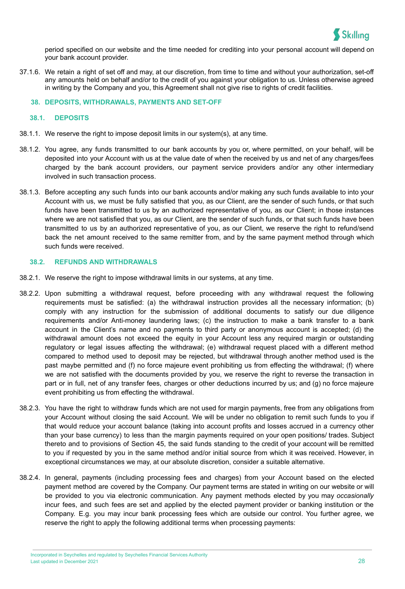

period specified on our website and the time needed for crediting into your personal account will depend on your bank account provider.

37.1.6. We retain a right of set off and may, at our discretion, from time to time and without your authorization, set-off any amounts held on behalf and/or to the credit of you against your obligation to us. Unless otherwise agreed in writing by the Company and you, this Agreement shall not give rise to rights of credit facilities.

#### **38. DEPOSITS, WITHDRAWALS, PAYMENTS AND SET-OFF**

#### **38.1. DEPOSITS**

- 38.1.1. We reserve the right to impose deposit limits in our system(s), at any time.
- 38.1.2. You agree, any funds transmitted to our bank accounts by you or, where permitted, on your behalf, will be deposited into your Account with us at the value date of when the received by us and net of any charges/fees charged by the bank account providers, our payment service providers and/or any other intermediary involved in such transaction process.
- 38.1.3. Before accepting any such funds into our bank accounts and/or making any such funds available to into your Account with us, we must be fully satisfied that you, as our Client, are the sender of such funds, or that such funds have been transmitted to us by an authorized representative of you, as our Client; in those instances where we are not satisfied that you, as our Client, are the sender of such funds, or that such funds have been transmitted to us by an authorized representative of you, as our Client, we reserve the right to refund/send back the net amount received to the same remitter from, and by the same payment method through which such funds were received.

#### **38.2. REFUNDS AND WITHDRAWALS**

- 38.2.1. We reserve the right to impose withdrawal limits in our systems, at any time.
- 38.2.2. Upon submitting a withdrawal request, before proceeding with any withdrawal request the following requirements must be satisfied: (a) the withdrawal instruction provides all the necessary information; (b) comply with any instruction for the submission of additional documents to satisfy our due diligence requirements and/or Anti-money laundering laws; (c) the instruction to make a bank transfer to a bank account in the Client's name and no payments to third party or anonymous account is accepted; (d) the withdrawal amount does not exceed the equity in your Account less any required margin or outstanding regulatory or legal issues affecting the withdrawal; (e) withdrawal request placed with a different method compared to method used to deposit may be rejected, but withdrawal through another method used is the past maybe permitted and (f) no force majeure event prohibiting us from effecting the withdrawal; (f) where we are not satisfied with the documents provided by you, we reserve the right to reverse the transaction in part or in full, net of any transfer fees, charges or other deductions incurred by us; and (g) no force majeure event prohibiting us from effecting the withdrawal.
- 38.2.3. You have the right to withdraw funds which are not used for margin payments, free from any obligations from your Account without closing the said Account. We will be under no obligation to remit such funds to you if that would reduce your account balance (taking into account profits and losses accrued in a currency other than your base currency) to less than the margin payments required on your open positions/ trades. Subject thereto and to provisions of Section 45, the said funds standing to the credit of your account will be remitted to you if requested by you in the same method and/or initial source from which it was received. However, in exceptional circumstances we may, at our absolute discretion, consider a suitable alternative.
- 38.2.4. In general, payments (including processing fees and charges) from your Account based on the elected payment method are covered by the Company. Our payment terms are stated in writing on our website or will be provided to you via electronic communication. Any payment methods elected by you may *occasionally* incur fees, and such fees are set and applied by the elected payment provider or banking institution or the Company. E.g. you may incur bank processing fees which are outside our control. You further agree, we reserve the right to apply the following additional terms when processing payments: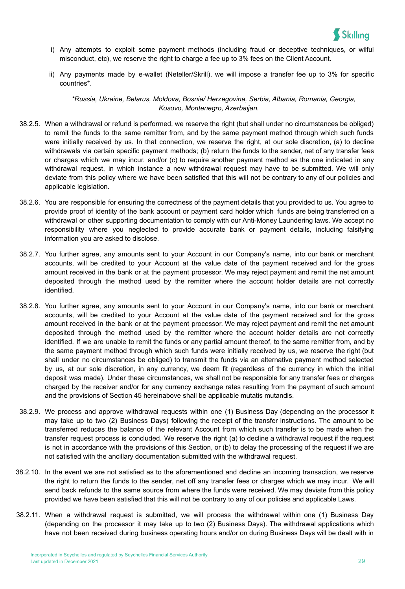

- i) Any attempts to exploit some payment methods (including fraud or deceptive techniques, or wilful misconduct, etc), we reserve the right to charge a fee up to 3% fees on the Client Account.
- ii) Any payments made by e-wallet (Neteller/Skrill), we will impose a transfer fee up to 3% for specific countries\*.

*\*Russia, Ukraine, Belarus, Moldova, Bosnia/ Herzegovina, Serbia, Albania, Romania, Georgia, Kosovo, Montenegro, Azerbaijan.*

- 38.2.5. When a withdrawal or refund is performed, we reserve the right (but shall under no circumstances be obliged) to remit the funds to the same remitter from, and by the same payment method through which such funds were initially received by us. In that connection, we reserve the right, at our sole discretion, (a) to decline withdrawals via certain specific payment methods; (b) return the funds to the sender, net of any transfer fees or charges which we may incur. and/or (c) to require another payment method as the one indicated in any withdrawal request, in which instance a new withdrawal request may have to be submitted. We will only deviate from this policy where we have been satisfied that this will not be contrary to any of our policies and applicable legislation.
- 38.2.6. You are responsible for ensuring the correctness of the payment details that you provided to us. You agree to provide proof of identity of the bank account or payment card holder which funds are being transferred on a withdrawal or other supporting documentation to comply with our Anti-Money Laundering laws. We accept no responsibility where you neglected to provide accurate bank or payment details, including falsifying information you are asked to disclose.
- 38.2.7. You further agree, any amounts sent to your Account in our Company's name, into our bank or merchant accounts, will be credited to your Account at the value date of the payment received and for the gross amount received in the bank or at the payment processor. We may reject payment and remit the net amount deposited through the method used by the remitter where the account holder details are not correctly identified.
- 38.2.8. You further agree, any amounts sent to your Account in our Company's name, into our bank or merchant accounts, will be credited to your Account at the value date of the payment received and for the gross amount received in the bank or at the payment processor. We may reject payment and remit the net amount deposited through the method used by the remitter where the account holder details are not correctly identified. If we are unable to remit the funds or any partial amount thereof, to the same remitter from, and by the same payment method through which such funds were initially received by us, we reserve the right (but shall under no circumstances be obliged) to transmit the funds via an alternative payment method selected by us, at our sole discretion, in any currency, we deem fit (regardless of the currency in which the initial deposit was made). Under these circumstances, we shall not be responsible for any transfer fees or charges charged by the receiver and/or for any currency exchange rates resulting from the payment of such amount and the provisions of Section 45 hereinabove shall be applicable mutatis mutandis.
- 38.2.9. We process and approve withdrawal requests within one (1) Business Day (depending on the processor it may take up to two (2) Business Days) following the receipt of the transfer instructions. The amount to be transferred reduces the balance of the relevant Account from which such transfer is to be made when the transfer request process is concluded. We reserve the right (a) to decline a withdrawal request if the request is not in accordance with the provisions of this Section, or (b) to delay the processing of the request if we are not satisfied with the ancillary documentation submitted with the withdrawal request.
- 38.2.10. In the event we are not satisfied as to the aforementioned and decline an incoming transaction, we reserve the right to return the funds to the sender, net off any transfer fees or charges which we may incur. We will send back refunds to the same source from where the funds were received. We may deviate from this policy provided we have been satisfied that this will not be contrary to any of our policies and applicable Laws.
- 38.2.11. When a withdrawal request is submitted, we will process the withdrawal within one (1) Business Day (depending on the processor it may take up to two (2) Business Days). The withdrawal applications which have not been received during business operating hours and/or on during Business Days will be dealt with in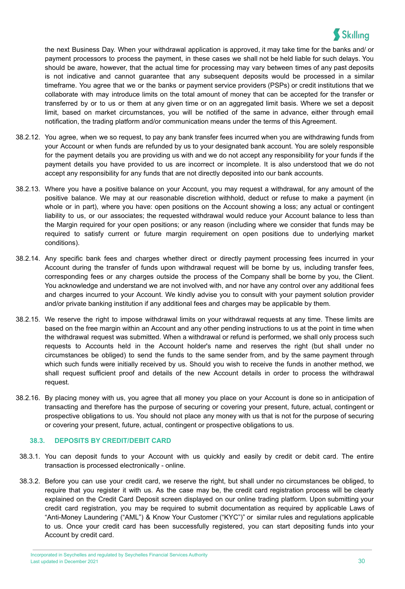

the next Business Day. When your withdrawal application is approved, it may take time for the banks and/ or payment processors to process the payment, in these cases we shall not be held liable for such delays. You should be aware, however, that the actual time for processing may vary between times of any past deposits is not indicative and cannot guarantee that any subsequent deposits would be processed in a similar timeframe. You agree that we or the banks or payment service providers (PSPs) or credit institutions that we collaborate with may introduce limits on the total amount of money that can be accepted for the transfer or transferred by or to us or them at any given time or on an aggregated limit basis. Where we set a deposit limit, based on market circumstances, you will be notified of the same in advance, either through email notification, the trading platform and/or communication means under the terms of this Agreement.

- 38.2.12. You agree, when we so request, to pay any bank transfer fees incurred when you are withdrawing funds from your Account or when funds are refunded by us to your designated bank account. You are solely responsible for the payment details you are providing us with and we do not accept any responsibility for your funds if the payment details you have provided to us are incorrect or incomplete. It is also understood that we do not accept any responsibility for any funds that are not directly deposited into our bank accounts.
- 38.2.13. Where you have a positive balance on your Account, you may request a withdrawal, for any amount of the positive balance. We may at our reasonable discretion withhold, deduct or refuse to make a payment (in whole or in part), where you have: open positions on the Account showing a loss; any actual or contingent liability to us, or our associates; the requested withdrawal would reduce your Account balance to less than the Margin required for your open positions; or any reason (including where we consider that funds may be required to satisfy current or future margin requirement on open positions due to underlying market conditions).
- 38.2.14. Any specific bank fees and charges whether direct or directly payment processing fees incurred in your Account during the transfer of funds upon withdrawal request will be borne by us, including transfer fees, corresponding fees or any charges outside the process of the Company shall be borne by you, the Client. You acknowledge and understand we are not involved with, and nor have any control over any additional fees and charges incurred to your Account. We kindly advise you to consult with your payment solution provider and/or private banking institution if any additional fees and charges may be applicable by them.
- 38.2.15. We reserve the right to impose withdrawal limits on your withdrawal requests at any time. These limits are based on the free margin within an Account and any other pending instructions to us at the point in time when the withdrawal request was submitted. When a withdrawal or refund is performed, we shall only process such requests to Accounts held in the Account holder's name and reserves the right (but shall under no circumstances be obliged) to send the funds to the same sender from, and by the same payment through which such funds were initially received by us. Should you wish to receive the funds in another method, we shall request sufficient proof and details of the new Account details in order to process the withdrawal request.
- 38.2.16. By placing money with us, you agree that all money you place on your Account is done so in anticipation of transacting and therefore has the purpose of securing or covering your present, future, actual, contingent or prospective obligations to us. You should not place any money with us that is not for the purpose of securing or covering your present, future, actual, contingent or prospective obligations to us.

## **38.3. DEPOSITS BY CREDIT/DEBIT CARD**

- 38.3.1. You can deposit funds to your Account with us quickly and easily by credit or debit card. The entire transaction is processed electronically - online.
- 38.3.2. Before you can use your credit card, we reserve the right, but shall under no circumstances be obliged, to require that you register it with us. As the case may be, the credit card registration process will be clearly explained on the Credit Card Deposit screen displayed on our online trading platform. Upon submitting your credit card registration, you may be required to submit documentation as required by applicable Laws of "Anti-Money Laundering ("AML") & Know Your Customer ("KYC")" or similar rules and regulations applicable to us. Once your credit card has been successfully registered, you can start depositing funds into your Account by credit card.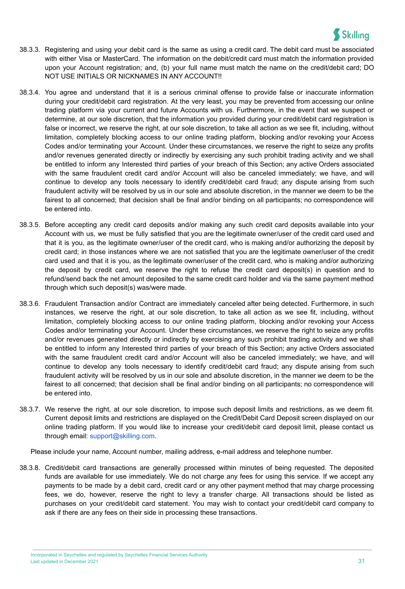

- 38.3.3. Registering and using your debit card is the same as using a credit card. The debit card must be associated with either Visa or MasterCard. The information on the debit/credit card must match the information provided upon your Account registration; and, (b) your full name must match the name on the credit/debit card; DO NOT USE INITIALS OR NICKNAMES IN ANY ACCOUNT!!
- 38.3.4. You agree and understand that it is a serious criminal offense to provide false or inaccurate information during your credit/debit card registration. At the very least, you may be prevented from accessing our online trading platform via your current and future Accounts with us. Furthermore, in the event that we suspect or determine, at our sole discretion, that the information you provided during your credit/debit card registration is false or incorrect, we reserve the right, at our sole discretion, to take all action as we see fit, including, without limitation, completely blocking access to our online trading platform, blocking and/or revoking your Access Codes and/or terminating your Account. Under these circumstances, we reserve the right to seize any profits and/or revenues generated directly or indirectly by exercising any such prohibit trading activity and we shall be entitled to inform any Interested third parties of your breach of this Section; any active Orders associated with the same fraudulent credit card and/or Account will also be canceled immediately; we have, and will continue to develop any tools necessary to identify credit/debit card fraud; any dispute arising from such fraudulent activity will be resolved by us in our sole and absolute discretion, in the manner we deem to be the fairest to all concerned; that decision shall be final and/or binding on all participants; no correspondence will be entered into.
- 38.3.5. Before accepting any credit card deposits and/or making any such credit card deposits available into your Account with us, we must be fully satisfied that you are the legitimate owner/user of the credit card used and that it is you, as the legitimate owner/user of the credit card, who is making and/or authorizing the deposit by credit card; in those instances where we are not satisfied that you are the legitimate owner/user of the credit card used and that it is you, as the legitimate owner/user of the credit card, who is making and/or authorizing the deposit by credit card, we reserve the right to refuse the credit card deposit(s) in question and to refund/send back the net amount deposited to the same credit card holder and via the same payment method through which such deposit(s) was/were made.
- 38.3.6. Fraudulent Transaction and/or Contract are immediately canceled after being detected. Furthermore, in such instances, we reserve the right, at our sole discretion, to take all action as we see fit, including, without limitation, completely blocking access to our online trading platform, blocking and/or revoking your Access Codes and/or terminating your Account. Under these circumstances, we reserve the right to seize any profits and/or revenues generated directly or indirectly by exercising any such prohibit trading activity and we shall be entitled to inform any Interested third parties of your breach of this Section; any active Orders associated with the same fraudulent credit card and/or Account will also be canceled immediately; we have, and will continue to develop any tools necessary to identify credit/debit card fraud; any dispute arising from such fraudulent activity will be resolved by us in our sole and absolute discretion, in the manner we deem to be the fairest to all concerned; that decision shall be final and/or binding on all participants; no correspondence will be entered into.
- 38.3.7. We reserve the right, at our sole discretion, to impose such deposit limits and restrictions, as we deem fit. Current deposit limits and restrictions are displayed on the Credit/Debit Card Deposit screen displayed on our online trading platform. If you would like to increase your credit/debit card deposit limit, please contact us through email: [support@skilling.com](mailto:support@skilling.com).

Please include your name, Account number, mailing address, e-mail address and telephone number.

38.3.8. Credit/debit card transactions are generally processed within minutes of being requested. The deposited funds are available for use immediately. We do not charge any fees for using this service. If we accept any payments to be made by a debit card, credit card or any other payment method that may charge processing fees, we do, however, reserve the right to levy a transfer charge. All transactions should be listed as purchases on your credit/debit card statement. You may wish to contact your credit/debit card company to ask if there are any fees on their side in processing these transactions.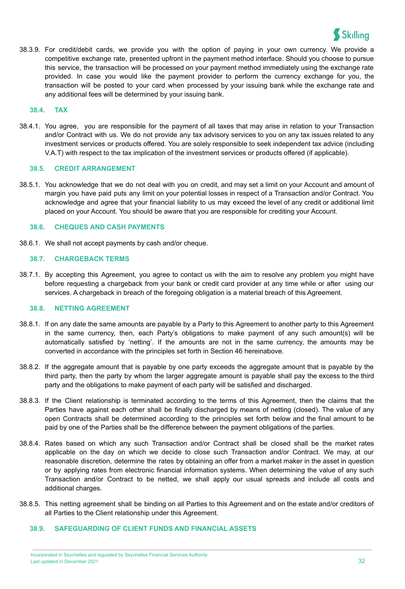

38.3.9. For credit/debit cards, we provide you with the option of paying in your own currency. We provide a competitive exchange rate, presented upfront in the payment method interface. Should you choose to pursue this service, the transaction will be processed on your payment method immediately using the exchange rate provided. In case you would like the payment provider to perform the currency exchange for you, the transaction will be posted to your card when processed by your issuing bank while the exchange rate and any additional fees will be determined by your issuing bank.

#### **38.4. TAX**

38.4.1. You agree, you are responsible for the payment of all taxes that may arise in relation to your Transaction and/or Contract with us. We do not provide any tax advisory services to you on any tax issues related to any investment services or products offered. You are solely responsible to seek independent tax advice (including V.A.T) with respect to the tax implication of the investment services or products offered (if applicable).

#### **38.5. CREDIT ARRANGEMENT**

38.5.1. You acknowledge that we do not deal with you on credit, and may set a limit on your Account and amount of margin you have paid puts any limit on your potential losses in respect of a Transaction and/or Contract. You acknowledge and agree that your financial liability to us may exceed the level of any credit or additional limit placed on your Account. You should be aware that you are responsible for crediting your Account.

#### **38.6. CHEQUES AND CASH PAYMENTS**

38.6.1. We shall not accept payments by cash and/or cheque.

#### **38.7. CHARGEBACK TERMS**

38.7.1. By accepting this Agreement, you agree to contact us with the aim to resolve any problem you might have before requesting a chargeback from your bank or credit card provider at any time while or after using our services. A chargeback in breach of the foregoing obligation is a material breach of this Agreement.

#### **38.8. NETTING AGREEMENT**

- 38.8.1. If on any date the same amounts are payable by a Party to this Agreement to another party to this Agreement in the same currency, then, each Party's obligations to make payment of any such amount(s) will be automatically satisfied by 'netting'. If the amounts are not in the same currency, the amounts may be converted in accordance with the principles set forth in Section 46 hereinabove.
- 38.8.2. If the aggregate amount that is payable by one party exceeds the aggregate amount that is payable by the third party, then the party by whom the larger aggregate amount is payable shall pay the excess to the third party and the obligations to make payment of each party will be satisfied and discharged.
- 38.8.3. If the Client relationship is terminated according to the terms of this Agreement, then the claims that the Parties have against each other shall be finally discharged by means of netting (closed). The value of any open Contracts shall be determined according to the principles set forth below and the final amount to be paid by one of the Parties shall be the difference between the payment obligations of the parties.
- 38.8.4. Rates based on which any such Transaction and/or Contract shall be closed shall be the market rates applicable on the day on which we decide to close such Transaction and/or Contract. We may, at our reasonable discretion, determine the rates by obtaining an offer from a market maker in the asset in question or by applying rates from electronic financial information systems. When determining the value of any such Transaction and/or Contract to be netted, we shall apply our usual spreads and include all costs and additional charges.
- 38.8.5. This netting agreement shall be binding on all Parties to this Agreement and on the estate and/or creditors of all Parties to the Client relationship under this Agreement.

## **38.9. SAFEGUARDING OF CLIENT FUNDS AND FINANCIAL ASSETS**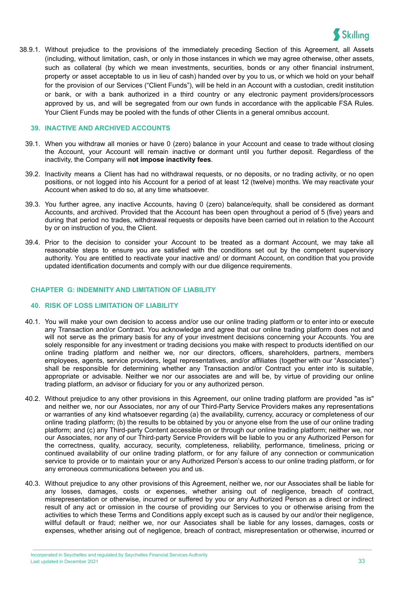

38.9.1. Without prejudice to the provisions of the immediately preceding Section of this Agreement, all Assets (including, without limitation, cash, or only in those instances in which we may agree otherwise, other assets, such as collateral (by which we mean investments, securities, bonds or any other financial instrument, property or asset acceptable to us in lieu of cash) handed over by you to us, or which we hold on your behalf for the provision of our Services ("Client Funds"), will be held in an Account with a custodian, credit institution or bank, or with a bank authorized in a third country or any electronic payment providers/processors approved by us, and will be segregated from our own funds in accordance with the applicable FSA Rules. Your Client Funds may be pooled with the funds of other Clients in a general omnibus account.

#### **39. INACTIVE AND ARCHIVED ACCOUNTS**

- 39.1. When you withdraw all monies or have 0 (zero) balance in your Account and cease to trade without closing the Account, your Account will remain inactive or dormant until you further deposit. Regardless of the inactivity, the Company will **not impose inactivity fees**.
- 39.2. Inactivity means a Client has had no withdrawal requests, or no deposits, or no trading activity, or no open positions, or not logged into his Account for a period of at least 12 (twelve) months. We may reactivate your Account when asked to do so, at any time whatsoever.
- 39.3. You further agree, any inactive Accounts, having 0 (zero) balance/equity, shall be considered as dormant Accounts, and archived. Provided that the Account has been open throughout a period of 5 (five) years and during that period no trades, withdrawal requests or deposits have been carried out in relation to the Account by or on instruction of you, the Client.
- 39.4. Prior to the decision to consider your Account to be treated as a dormant Account, we may take all reasonable steps to ensure you are satisfied with the conditions set out by the competent supervisory authority. You are entitled to reactivate your inactive and/ or dormant Account, on condition that you provide updated identification documents and comply with our due diligence requirements.

## <span id="page-33-0"></span>**CHAPTER G: INDEMNITY AND LIMITATION OF LIABILITY**

#### **40. RISK OF LOSS LIMITATION OF LIABILITY**

- 40.1. You will make your own decision to access and/or use our online trading platform or to enter into or execute any Transaction and/or Contract. You acknowledge and agree that our online trading platform does not and will not serve as the primary basis for any of your investment decisions concerning your Accounts. You are solely responsible for any investment or trading decisions you make with respect to products identified on our online trading platform and neither we, nor our directors, officers, shareholders, partners, members employees, agents, service providers, legal representatives, and/or affiliates (together with our "Associates") shall be responsible for determining whether any Transaction and/or Contract you enter into is suitable, appropriate or advisable. Neither we nor our associates are and will be, by virtue of providing our online trading platform, an advisor or fiduciary for you or any authorized person.
- 40.2. Without prejudice to any other provisions in this Agreement, our online trading platform are provided "as is" and neither we, nor our Associates, nor any of our Third-Party Service Providers makes any representations or warranties of any kind whatsoever regarding (a) the availability, currency, accuracy or completeness of our online trading platform; (b) the results to be obtained by you or anyone else from the use of our online trading platform; and (c) any Third-party Content accessible on or through our online trading platform; neither we, nor our Associates, nor any of our Third-party Service Providers will be liable to you or any Authorized Person for the correctness, quality, accuracy, security, completeness, reliability, performance, timeliness, pricing or continued availability of our online trading platform, or for any failure of any connection or communication service to provide or to maintain your or any Authorized Person's access to our online trading platform, or for any erroneous communications between you and us.
- 40.3. Without prejudice to any other provisions of this Agreement, neither we, nor our Associates shall be liable for any losses, damages, costs or expenses, whether arising out of negligence, breach of contract, misrepresentation or otherwise, incurred or suffered by you or any Authorized Person as a direct or indirect result of any act or omission in the course of providing our Services to you or otherwise arising from the activities to which these Terms and Conditions apply except such as is caused by our and/or their negligence, willful default or fraud; neither we, nor our Associates shall be liable for any losses, damages, costs or expenses, whether arising out of negligence, breach of contract, misrepresentation or otherwise, incurred or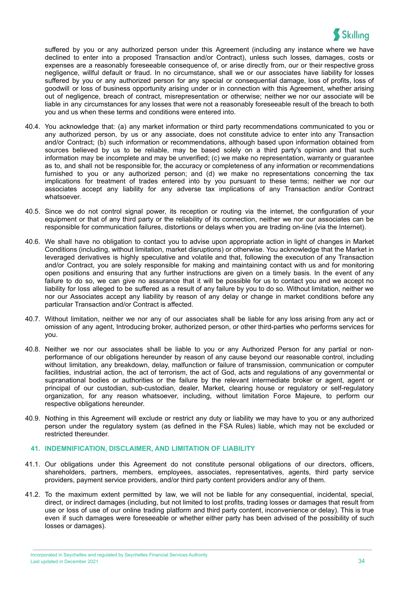

suffered by you or any authorized person under this Agreement (including any instance where we have declined to enter into a proposed Transaction and/or Contract), unless such losses, damages, costs or expenses are a reasonably foreseeable consequence of, or arise directly from, our or their respective gross negligence, willful default or fraud. In no circumstance, shall we or our associates have liability for losses suffered by you or any authorized person for any special or consequential damage, loss of profits, loss of goodwill or loss of business opportunity arising under or in connection with this Agreement, whether arising out of negligence, breach of contract, misrepresentation or otherwise; neither we nor our associate will be liable in any circumstances for any losses that were not a reasonably foreseeable result of the breach to both you and us when these terms and conditions were entered into.

- 40.4. You acknowledge that: (a) any market information or third party recommendations communicated to you or any authorized person, by us or any associate, does not constitute advice to enter into any Transaction and/or Contract; (b) such information or recommendations, although based upon information obtained from sources believed by us to be reliable, may be based solely on a third party's opinion and that such information may be incomplete and may be unverified; (c) we make no representation, warranty or guarantee as to, and shall not be responsible for, the accuracy or completeness of any information or recommendations furnished to you or any authorized person; and (d) we make no representations concerning the tax implications for treatment of trades entered into by you pursuant to these terms; neither we nor our associates accept any liability for any adverse tax implications of any Transaction and/or Contract whatsoever.
- 40.5. Since we do not control signal power, its reception or routing via the internet, the configuration of your equipment or that of any third party or the reliability of its connection, neither we nor our associates can be responsible for communication failures, distortions or delays when you are trading on-line (via the Internet).
- 40.6. We shall have no obligation to contact you to advise upon appropriate action in light of changes in Market Conditions (including, without limitation, market disruptions) or otherwise. You acknowledge that the Market in leveraged derivatives is highly speculative and volatile and that, following the execution of any Transaction and/or Contract, you are solely responsible for making and maintaining contact with us and for monitoring open positions and ensuring that any further instructions are given on a timely basis. In the event of any failure to do so, we can give no assurance that it will be possible for us to contact you and we accept no liability for loss alleged to be suffered as a result of any failure by you to do so. Without limitation, neither we nor our Associates accept any liability by reason of any delay or change in market conditions before any particular Transaction and/or Contract is affected.
- 40.7. Without limitation, neither we nor any of our associates shall be liable for any loss arising from any act or omission of any agent, Introducing broker, authorized person, or other third-parties who performs services for you.
- 40.8. Neither we nor our associates shall be liable to you or any Authorized Person for any partial or nonperformance of our obligations hereunder by reason of any cause beyond our reasonable control, including without limitation, any breakdown, delay, malfunction or failure of transmission, communication or computer facilities, industrial action, the act of terrorism, the act of God, acts and regulations of any governmental or supranational bodies or authorities or the failure by the relevant intermediate broker or agent, agent or principal of our custodian, sub-custodian, dealer, Market, clearing house or regulatory or self-regulatory organization, for any reason whatsoever, including, without limitation Force Majeure, to perform our respective obligations hereunder.
- 40.9. Nothing in this Agreement will exclude or restrict any duty or liability we may have to you or any authorized person under the regulatory system (as defined in the FSA Rules) liable, which may not be excluded or restricted thereunder.

## **41. INDEMNIFICATION, DISCLAIMER, AND LIMITATION OF LIABILITY**

- 41.1. Our obligations under this Agreement do not constitute personal obligations of our directors, officers, shareholders, partners, members, employees, associates, representatives, agents, third party service providers, payment service providers, and/or third party content providers and/or any of them.
- 41.2. To the maximum extent permitted by law, we will not be liable for any consequential, incidental, special, direct, or indirect damages (including, but not limited to lost profits, trading losses or damages that result from use or loss of use of our online trading platform and third party content, inconvenience or delay). This is true even if such damages were foreseeable or whether either party has been advised of the possibility of such losses or damages).

Incorporated in Seychelles and regulated by Seychelles Financial Services Authority Last updated in December 2021 34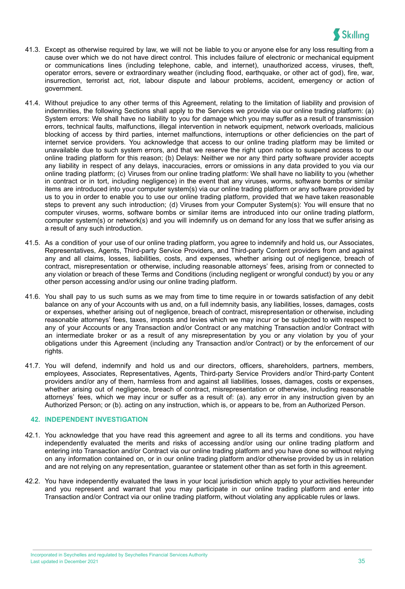

- 41.3. Except as otherwise required by law, we will not be liable to you or anyone else for any loss resulting from a cause over which we do not have direct control. This includes failure of electronic or mechanical equipment or communications lines (including telephone, cable, and internet), unauthorized access, viruses, theft, operator errors, severe or extraordinary weather (including flood, earthquake, or other act of god), fire, war, insurrection, terrorist act, riot, labour dispute and labour problems, accident, emergency or action of government.
- 41.4. Without prejudice to any other terms of this Agreement, relating to the limitation of liability and provision of indemnities, the following Sections shall apply to the Services we provide via our online trading platform: (a) System errors: We shall have no liability to you for damage which you may suffer as a result of transmission errors, technical faults, malfunctions, illegal intervention in network equipment, network overloads, malicious blocking of access by third parties, internet malfunctions, interruptions or other deficiencies on the part of internet service providers. You acknowledge that access to our online trading platform may be limited or unavailable due to such system errors, and that we reserve the right upon notice to suspend access to our online trading platform for this reason; (b) Delays: Neither we nor any third party software provider accepts any liability in respect of any delays, inaccuracies, errors or omissions in any data provided to you via our online trading platform; (c) Viruses from our online trading platform: We shall have no liability to you (whether in contract or in tort, including negligence) in the event that any viruses, worms, software bombs or similar items are introduced into your computer system(s) via our online trading platform or any software provided by us to you in order to enable you to use our online trading platform, provided that we have taken reasonable steps to prevent any such introduction; (d) Viruses from your Computer System(s): You will ensure that no computer viruses, worms, software bombs or similar items are introduced into our online trading platform, computer system(s) or network(s) and you will indemnify us on demand for any loss that we suffer arising as a result of any such introduction.
- 41.5. As a condition of your use of our online trading platform, you agree to indemnify and hold us, our Associates, Representatives, Agents, Third-party Service Providers, and Third-party Content providers from and against any and all claims, losses, liabilities, costs, and expenses, whether arising out of negligence, breach of contract, misrepresentation or otherwise, including reasonable attorneys' fees, arising from or connected to any violation or breach of these Terms and Conditions (including negligent or wrongful conduct) by you or any other person accessing and/or using our online trading platform.
- 41.6. You shall pay to us such sums as we may from time to time require in or towards satisfaction of any debit balance on any of your Accounts with us and, on a full indemnity basis, any liabilities, losses, damages, costs or expenses, whether arising out of negligence, breach of contract, misrepresentation or otherwise, including reasonable attorneys' fees, taxes, imposts and levies which we may incur or be subjected to with respect to any of your Accounts or any Transaction and/or Contract or any matching Transaction and/or Contract with an intermediate broker or as a result of any misrepresentation by you or any violation by you of your obligations under this Agreement (including any Transaction and/or Contract) or by the enforcement of our rights.
- 41.7. You will defend, indemnify and hold us and our directors, officers, shareholders, partners, members, employees, Associates, Representatives, Agents, Third-party Service Providers and/or Third-party Content providers and/or any of them, harmless from and against all liabilities, losses, damages, costs or expenses, whether arising out of negligence, breach of contract, misrepresentation or otherwise, including reasonable attorneys' fees, which we may incur or suffer as a result of: (a). any error in any instruction given by an Authorized Person; or (b). acting on any instruction, which is, or appears to be, from an Authorized Person.

#### **42. INDEPENDENT INVESTIGATION**

- 42.1. You acknowledge that you have read this agreement and agree to all its terms and conditions. you have independently evaluated the merits and risks of accessing and/or using our online trading platform and entering into Transaction and/or Contract via our online trading platform and you have done so without relying on any information contained on, or in our online trading platform and/or otherwise provided by us in relation and are not relying on any representation, guarantee or statement other than as set forth in this agreement.
- 42.2. You have independently evaluated the laws in your local jurisdiction which apply to your activities hereunder and you represent and warrant that you may participate in our online trading platform and enter into Transaction and/or Contract via our online trading platform, without violating any applicable rules or laws.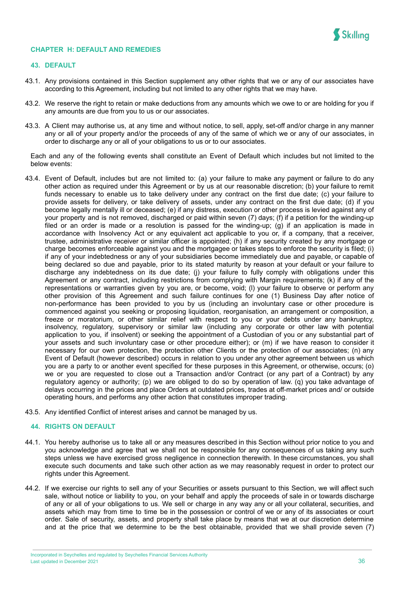

#### <span id="page-36-0"></span>**CHAPTER H: DEFAULT AND REMEDIES**

#### **43. DEFAULT**

- 43.1. Any provisions contained in this Section supplement any other rights that we or any of our associates have according to this Agreement, including but not limited to any other rights that we may have.
- 43.2. We reserve the right to retain or make deductions from any amounts which we owe to or are holding for you if any amounts are due from you to us or our associates.
- 43.3. A Client may authorise us, at any time and without notice, to sell, apply, set-off and/or charge in any manner any or all of your property and/or the proceeds of any of the same of which we or any of our associates, in order to discharge any or all of your obligations to us or to our associates.

Each and any of the following events shall constitute an Event of Default which includes but not limited to the below events:

- 43.4. Event of Default, includes but are not limited to: (a) your failure to make any payment or failure to do any other action as required under this Agreement or by us at our reasonable discretion; (b) your failure to remit funds necessary to enable us to take delivery under any contract on the first due date; (c) your failure to provide assets for delivery, or take delivery of assets, under any contract on the first due date; (d) if you become legally mentally ill or deceased; (e) if any distress, execution or other process is levied against any of your property and is not removed, discharged or paid within seven (7) days; (f) if a petition for the winding-up filed or an order is made or a resolution is passed for the winding-up; (g) if an application is made in accordance with Insolvency Act or any equivalent act applicable to you or, if a company, that a receiver, trustee, administrative receiver or similar officer is appointed; (h) if any security created by any mortgage or charge becomes enforceable against you and the mortgagee or takes steps to enforce the security is filed; (i) if any of your indebtedness or any of your subsidiaries become immediately due and payable, or capable of being declared so due and payable, prior to its stated maturity by reason at your default or your failure to discharge any indebtedness on its due date; (j) your failure to fully comply with obligations under this Agreement or any contract, including restrictions from complying with Margin requirements; (k) if any of the representations or warranties given by you are, or become, void; (l) your failure to observe or perform any other provision of this Agreement and such failure continues for one (1) Business Day after notice of non-performance has been provided to you by us (including an involuntary case or other procedure is commenced against you seeking or proposing liquidation, reorganisation, an arrangement or composition, a freeze or moratorium, or other similar relief with respect to you or your debts under any bankruptcy, insolvency, regulatory, supervisory or similar law (including any corporate or other law with potential application to you, if insolvent) or seeking the appointment of a Custodian of you or any substantial part of your assets and such involuntary case or other procedure either); or (m) if we have reason to consider it necessary for our own protection, the protection other Clients or the protection of our associates; (n) any Event of Default (however described) occurs in relation to you under any other agreement between us which you are a party to or another event specified for these purposes in this Agreement, or otherwise, occurs; (o) we or you are requested to close out a Transaction and/or Contract (or any part of a Contract) by any regulatory agency or authority; (p) we are obliged to do so by operation of law. (q) you take advantage of delays occurring in the prices and place Orders at outdated prices, trades at off-market prices and/ or outside operating hours, and performs any other action that constitutes improper trading.
- 43.5. Any identified Conflict of interest arises and cannot be managed by us.

#### **44. RIGHTS ON DEFAULT**

- 44.1. You hereby authorise us to take all or any measures described in this Section without prior notice to you and you acknowledge and agree that we shall not be responsible for any consequences of us taking any such steps unless we have exercised gross negligence in connection therewith. In these circumstances, you shall execute such documents and take such other action as we may reasonably request in order to protect our rights under this Agreement.
- 44.2. If we exercise our rights to sell any of your Securities or assets pursuant to this Section, we will affect such sale, without notice or liability to you, on your behalf and apply the proceeds of sale in or towards discharge of any or all of your obligations to us. We sell or charge in any way any or all your collateral, securities, and assets which may from time to time be in the possession or control of we or any of its associates or court order. Sale of security, assets, and property shall take place by means that we at our discretion determine and at the price that we determine to be the best obtainable, provided that we shall provide seven (7)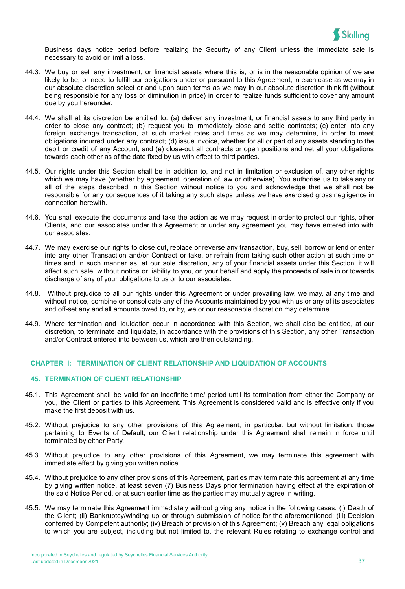

Business days notice period before realizing the Security of any Client unless the immediate sale is necessary to avoid or limit a loss.

- 44.3. We buy or sell any investment, or financial assets where this is, or is in the reasonable opinion of we are likely to be, or need to fulfill our obligations under or pursuant to this Agreement, in each case as we may in our absolute discretion select or and upon such terms as we may in our absolute discretion think fit (without being responsible for any loss or diminution in price) in order to realize funds sufficient to cover any amount due by you hereunder.
- 44.4. We shall at its discretion be entitled to: (a) deliver any investment, or financial assets to any third party in order to close any contract; (b) request you to immediately close and settle contracts; (c) enter into any foreign exchange transaction, at such market rates and times as we may determine, in order to meet obligations incurred under any contract; (d) issue invoice, whether for all or part of any assets standing to the debit or credit of any Account; and (e) close-out all contracts or open positions and net all your obligations towards each other as of the date fixed by us with effect to third parties.
- 44.5. Our rights under this Section shall be in addition to, and not in limitation or exclusion of, any other rights which we may have (whether by agreement, operation of law or otherwise). You authorise us to take any or all of the steps described in this Section without notice to you and acknowledge that we shall not be responsible for any consequences of it taking any such steps unless we have exercised gross negligence in connection herewith.
- 44.6. You shall execute the documents and take the action as we may request in order to protect our rights, other Clients, and our associates under this Agreement or under any agreement you may have entered into with our associates.
- 44.7. We may exercise our rights to close out, replace or reverse any transaction, buy, sell, borrow or lend or enter into any other Transaction and/or Contract or take, or refrain from taking such other action at such time or times and in such manner as, at our sole discretion, any of your financial assets under this Section, it will affect such sale, without notice or liability to you, on your behalf and apply the proceeds of sale in or towards discharge of any of your obligations to us or to our associates.
- 44.8. Without prejudice to all our rights under this Agreement or under prevailing law, we may, at any time and without notice, combine or consolidate any of the Accounts maintained by you with us or any of its associates and off-set any and all amounts owed to, or by, we or our reasonable discretion may determine.
- 44.9. Where termination and liquidation occur in accordance with this Section, we shall also be entitled, at our discretion, to terminate and liquidate, in accordance with the provisions of this Section, any other Transaction and/or Contract entered into between us, which are then outstanding.

#### <span id="page-37-0"></span>**CHAPTER I: TERMINATION OF CLIENT RELATIONSHIP AND LIQUIDATION OF ACCOUNTS**

## **45. TERMINATION OF CLIENT RELATIONSHIP**

- 45.1. This Agreement shall be valid for an indefinite time/ period until its termination from either the Company or you, the Client or parties to this Agreement. This Agreement is considered valid and is effective only if you make the first deposit with us.
- 45.2. Without prejudice to any other provisions of this Agreement, in particular, but without limitation, those pertaining to Events of Default, our Client relationship under this Agreement shall remain in force until terminated by either Party.
- 45.3. Without prejudice to any other provisions of this Agreement, we may terminate this agreement with immediate effect by giving you written notice.
- 45.4. Without prejudice to any other provisions of this Agreement, parties may terminate this agreement at any time by giving written notice, at least seven (7) Business Days prior termination having effect at the expiration of the said Notice Period, or at such earlier time as the parties may mutually agree in writing.
- 45.5. We may terminate this Agreement immediately without giving any notice in the following cases: (i) Death of the Client; (ii) Bankruptcy/winding up or through submission of notice for the aforementioned; (iii) Decision conferred by Competent authority; (iv) Breach of provision of this Agreement; (v) Breach any legal obligations to which you are subject, including but not limited to, the relevant Rules relating to exchange control and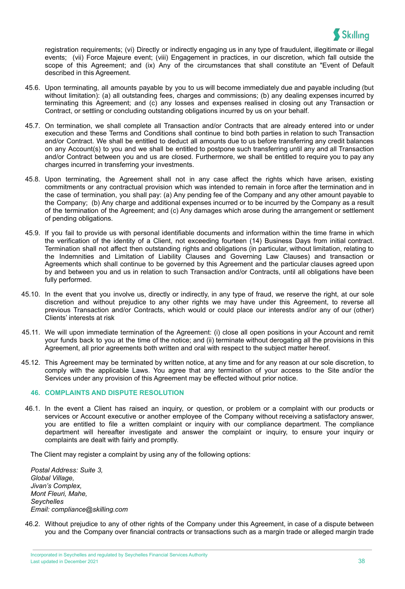

registration requirements; (vi) Directly or indirectly engaging us in any type of fraudulent, illegitimate or illegal events; (vii) Force Majeure event; (viii) Engagement in practices, in our discretion, which fall outside the scope of this Agreement; and (ix) Any of the circumstances that shall constitute an "Event of [Default](https://www.lawinsider.com/clause/event-of-default) described in this Agreement.

- 45.6. Upon terminating, all amounts payable by you to us will become immediately due and payable including (but without limitation): (a) all outstanding fees, charges and commissions; (b) any dealing expenses incurred by terminating this Agreement; and (c) any losses and expenses realised in closing out any Transaction or Contract, or settling or concluding outstanding obligations incurred by us on your behalf.
- 45.7. On termination, we shall complete all Transaction and/or Contracts that are already entered into or under execution and these Terms and Conditions shall continue to bind both parties in relation to such Transaction and/or Contract. We shall be entitled to deduct all amounts due to us before transferring any credit balances on any Account(s) to you and we shall be entitled to postpone such transferring until any and all Transaction and/or Contract between you and us are closed. Furthermore, we shall be entitled to require you to pay any charges incurred in transferring your investments.
- 45.8. Upon terminating, the Agreement shall not in any case affect the rights which have arisen, existing commitments or any contractual provision which was intended to remain in force after the termination and in the case of termination, you shall pay: (a) Any pending fee of the Company and any other amount payable to the Company; (b) Any charge and additional expenses incurred or to be incurred by the Company as a result of the termination of the Agreement; and (c) Any damages which arose during the arrangement or settlement of pending obligations.
- 45.9. If you fail to provide us with personal identifiable documents and information within the time frame in which the verification of the identity of a Client, not exceeding fourteen (14) Business Days from initial contract. Termination shall not affect then outstanding rights and obligations (in particular, without limitation, relating to the Indemnities and Limitation of Liability Clauses and Governing Law Clauses) and transaction or Agreements which shall continue to be governed by this Agreement and the particular clauses agreed upon by and between you and us in relation to such Transaction and/or Contracts, until all obligations have been fully performed.
- 45.10. In the event that you involve us, directly or indirectly, in any type of fraud, we reserve the right, at our sole discretion and without prejudice to any other rights we may have under this Agreement, to reverse all previous Transaction and/or Contracts, which would or could place our interests and/or any of our (other) Clients' interests at risk
- 45.11. We will upon immediate termination of the Agreement: (i) close all open positions in your Account and remit your funds back to you at the time of the notice; and (ii) terminate without derogating all the provisions in this Agreement, all prior agreements both written and oral with respect to the subject matter hereof.
- 45.12. This Agreement may be terminated by written notice, at any time and for any reason at our sole discretion, to comply with the applicable Laws. You agree that any termination of your access to the Site and/or the Services under any provision of this Agreement may be effected without prior notice.

## **46. COMPLAINTS AND DISPUTE RESOLUTION**

46.1. In the event a Client has raised an inquiry, or question, or problem or a complaint with our products or services or Account executive or another employee of the Company without receiving a satisfactory answer, you are entitled to file a written complaint or inquiry with our compliance department. The compliance department will hereafter investigate and answer the complaint or inquiry, to ensure your inquiry or complaints are dealt with fairly and promptly.

The Client may register a complaint by using any of the following options:

*Postal Address: Suite 3, Global Village, Jivan's Complex, Mont Fleuri, Mahe, Seychelles Email: compliance@skilling.com*

46.2. Without prejudice to any of other rights of the Company under this Agreement, in case of a dispute between you and the Company over financial contracts or transactions such as a margin trade or alleged margin trade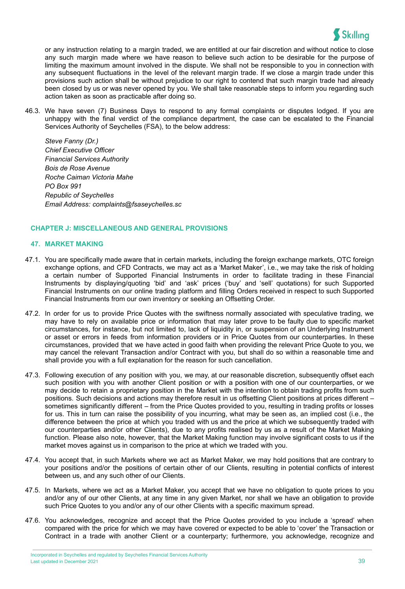

or any instruction relating to a margin traded, we are entitled at our fair discretion and without notice to close any such margin made where we have reason to believe such action to be desirable for the purpose of limiting the maximum amount involved in the dispute. We shall not be responsible to you in connection with any subsequent fluctuations in the level of the relevant margin trade. If we close a margin trade under this provisions such action shall be without prejudice to our right to contend that such margin trade had already been closed by us or was never opened by you. We shall take reasonable steps to inform you regarding such action taken as soon as practicable after doing so.

46.3. We have seven (7) Business Days to respond to any formal complaints or disputes lodged. If you are unhappy with the final verdict of the compliance department, the case can be escalated to the Financial Services Authority of Seychelles (FSA), to the below address:

*Steve Fanny (Dr.) Chief Executive Officer Financial Services Authority Bois de Rose Avenue Roche Caiman Victoria Mahe PO Box 991 Republic of Seychelles Email Address: [complaints@fsaseychelles.sc](mailto:complaints@fsaseychelles.sc)*

## <span id="page-39-0"></span>**CHAPTER J: MISCELLANEOUS AND GENERAL PROVISIONS**

## **47. MARKET MAKING**

- 47.1. You are specifically made aware that in certain markets, including the foreign exchange markets, OTC foreign exchange options, and CFD Contracts, we may act as a 'Market Maker', i.e., we may take the risk of holding a certain number of Supported Financial Instruments in order to facilitate trading in these Financial Instruments by displaying/quoting 'bid' and 'ask' prices ('buy' and 'sell' quotations) for such Supported Financial Instruments on our online trading platform and filling Orders received in respect to such Supported Financial Instruments from our own inventory or seeking an Offsetting Order.
- 47.2. In order for us to provide Price Quotes with the swiftness normally associated with speculative trading, we may have to rely on available price or information that may later prove to be faulty due to specific market circumstances, for instance, but not limited to, lack of liquidity in, or suspension of an Underlying Instrument or asset or errors in feeds from information providers or in Price Quotes from our counterparties. In these circumstances, provided that we have acted in good faith when providing the relevant Price Quote to you, we may cancel the relevant Transaction and/or Contract with you, but shall do so within a reasonable time and shall provide you with a full explanation for the reason for such cancellation.
- 47.3. Following execution of any position with you, we may, at our reasonable discretion, subsequently offset each such position with you with another Client position or with a position with one of our counterparties, or we may decide to retain a proprietary position in the Market with the intention to obtain trading profits from such positions. Such decisions and actions may therefore result in us offsetting Client positions at prices different – sometimes significantly different – from the Price Quotes provided to you, resulting in trading profits or losses for us. This in turn can raise the possibility of you incurring, what may be seen as, an implied cost (i.e., the difference between the price at which you traded with us and the price at which we subsequently traded with our counterparties and/or other Clients), due to any profits realised by us as a result of the Market Making function. Please also note, however, that the Market Making function may involve significant costs to us if the market moves against us in comparison to the price at which we traded with you.
- 47.4. You accept that, in such Markets where we act as Market Maker, we may hold positions that are contrary to your positions and/or the positions of certain other of our Clients, resulting in potential conflicts of interest between us, and any such other of our Clients.
- 47.5. In Markets, where we act as a Market Maker, you accept that we have no obligation to quote prices to you and/or any of our other Clients, at any time in any given Market, nor shall we have an obligation to provide such Price Quotes to you and/or any of our other Clients with a specific maximum spread.
- 47.6. You acknowledges, recognize and accept that the Price Quotes provided to you include a 'spread' when compared with the price for which we may have covered or expected to be able to 'cover' the Transaction or Contract in a trade with another Client or a counterparty; furthermore, you acknowledge, recognize and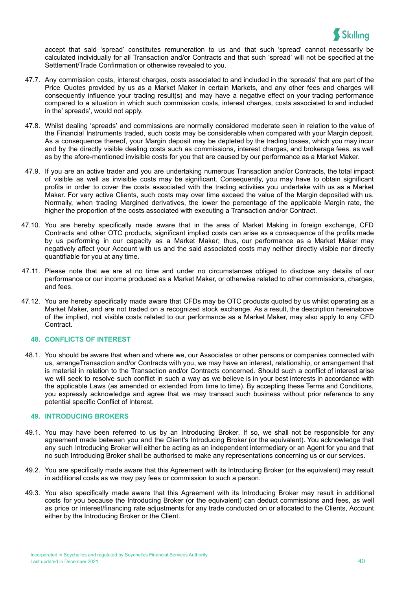

accept that said 'spread' constitutes remuneration to us and that such 'spread' cannot necessarily be calculated individually for all Transaction and/or Contracts and that such 'spread' will not be specified at the Settlement/Trade Confirmation or otherwise revealed to you.

- 47.7. Any commission costs, interest charges, costs associated to and included in the 'spreads' that are part of the Price Quotes provided by us as a Market Maker in certain Markets, and any other fees and charges will consequently influence your trading result(s) and may have a negative effect on your trading performance compared to a situation in which such commission costs, interest charges, costs associated to and included in the' spreads', would not apply.
- 47.8. Whilst dealing 'spreads' and commissions are normally considered moderate seen in relation to the value of the Financial Instruments traded, such costs may be considerable when compared with your Margin deposit. As a consequence thereof, your Margin deposit may be depleted by the trading losses, which you may incur and by the directly visible dealing costs such as commissions, interest charges, and brokerage fees, as well as by the afore-mentioned invisible costs for you that are caused by our performance as a Market Maker.
- 47.9. If you are an active trader and you are undertaking numerous Transaction and/or Contracts, the total impact of visible as well as invisible costs may be significant. Consequently, you may have to obtain significant profits in order to cover the costs associated with the trading activities you undertake with us as a Market Maker. For very active Clients, such costs may over time exceed the value of the Margin deposited with us. Normally, when trading Margined derivatives, the lower the percentage of the applicable Margin rate, the higher the proportion of the costs associated with executing a Transaction and/or Contract.
- 47.10. You are hereby specifically made aware that in the area of Market Making in foreign exchange, CFD Contracts and other OTC products, significant implied costs can arise as a consequence of the profits made by us performing in our capacity as a Market Maker; thus, our performance as a Market Maker may negatively affect your Account with us and the said associated costs may neither directly visible nor directly quantifiable for you at any time.
- 47.11. Please note that we are at no time and under no circumstances obliged to disclose any details of our performance or our income produced as a Market Maker, or otherwise related to other commissions, charges, and fees.
- 47.12. You are hereby specifically made aware that CFDs may be OTC products quoted by us whilst operating as a Market Maker, and are not traded on a recognized stock exchange. As a result, the description hereinabove of the implied, not visible costs related to our performance as a Market Maker, may also apply to any CFD Contract.

#### **48. CONFLICTS OF INTEREST**

48.1. You should be aware that when and where we, our Associates or other persons or companies connected with us, arrangeTransaction and/or Contracts with you, we may have an interest, relationship, or arrangement that is material in relation to the Transaction and/or Contracts concerned. Should such a conflict of interest arise we will seek to resolve such conflict in such a way as we believe is in your best interests in accordance with the applicable Laws (as amended or extended from time to time). By accepting these Terms and Conditions, you expressly acknowledge and agree that we may transact such business without prior reference to any potential specific Conflict of Interest.

#### **49. INTRODUCING BROKERS**

- 49.1. You may have been referred to us by an Introducing Broker. If so, we shall not be responsible for any agreement made between you and the Client's Introducing Broker (or the equivalent). You acknowledge that any such Introducing Broker will either be acting as an independent intermediary or an Agent for you and that no such Introducing Broker shall be authorised to make any representations concerning us or our services.
- 49.2. You are specifically made aware that this Agreement with its Introducing Broker (or the equivalent) may result in additional costs as we may pay fees or commission to such a person.
- 49.3. You also specifically made aware that this Agreement with its Introducing Broker may result in additional costs for you because the Introducing Broker (or the equivalent) can deduct commissions and fees, as well as price or interest/financing rate adjustments for any trade conducted on or allocated to the Clients, Account either by the Introducing Broker or the Client.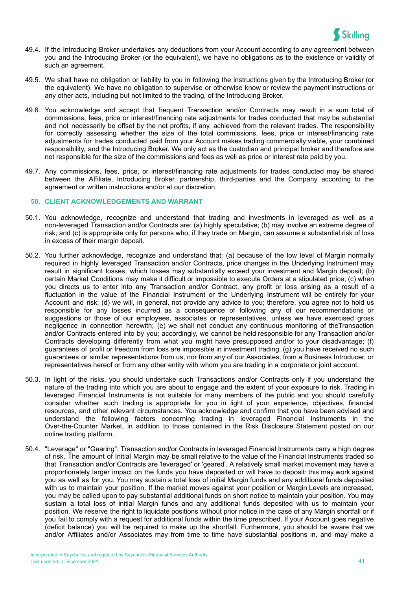

- 49.4. If the Introducing Broker undertakes any deductions from your Account according to any agreement between you and the Introducing Broker (or the equivalent), we have no obligations as to the existence or validity of such an agreement.
- 49.5. We shall have no obligation or liability to you in following the instructions given by the Introducing Broker (or the equivalent). We have no obligation to supervise or otherwise know or review the payment instructions or any other acts, including but not limited to the trading, of the Introducing Broker.
- 49.6. You acknowledge and accept that frequent Transaction and/or Contracts may result in a sum total of commissions, fees, price or interest/financing rate adjustments for trades conducted that may be substantial and not necessarily be offset by the net profits, if any, achieved from the relevant trades. The responsibility for correctly assessing whether the size of the total commissions, fees, price or interest/financing rate adjustments for trades conducted paid from your Account makes trading commercially viable, your combined responsibility, and the Introducing Broker. We only act as the custodian and principal broker and therefore are not responsible for the size of the commissions and fees as well as price or interest rate paid by you.
- 49.7. Any commissions, fees, price, or interest/financing rate adjustments for trades conducted may be shared between the Affiliate, Introducing Broker, partnership, third-parties and the Company according to the agreement or written instructions and/or at our discretion.

#### **50. CLIENT ACKNOWLEDGEMENTS AND WARRANT**

- 50.1. You acknowledge, recognize and understand that trading and investments in leveraged as well as a non-leveraged Transaction and/or Contracts are: (a) highly speculative; (b) may involve an extreme degree of risk; and (c) is appropriate only for persons who, if they trade on Margin, can assume a substantial risk of loss in excess of their margin deposit.
- 50.2. You further acknowledge, recognize and understand that: (a) because of the low level of Margin normally required in highly leveraged Transaction and/or Contracts, price changes in the Underlying Instrument may result in significant losses, which losses may substantially exceed your investment and Margin deposit; (b) certain Market Conditions may make it difficult or impossible to execute Orders at a stipulated price; (c) when you directs us to enter into any Transaction and/or Contract, any profit or loss arising as a result of a fluctuation in the value of the Financial Instrument or the Underlying Instrument will be entirely for your Account and risk; (d) we will, in general, not provide any advice to you; therefore, you agree not to hold us responsible for any losses incurred as a consequence of following any of our recommendations or suggestions or those of our employees, associates or representatives, unless we have exercised gross negligence in connection herewith; (e) we shall not conduct any continuous monitoring of theTransaction and/or Contracts entered into by you; accordingly, we cannot be held responsible for any Transaction and/or Contracts developing differently from what you might have presupposed and/or to your disadvantage; (f) guarantees of profit or freedom from loss are impossible in investment trading; (g) you have received no such guarantees or similar representations from us, nor from any of our Associates, from a Business Introducer, or representatives hereof or from any other entity with whom you are trading in a corporate or joint account.
- 50.3. In light of the risks, you should undertake such Transactions and/or Contracts only if you understand the nature of the trading into which you are about to engage and the extent of your exposure to risk. Trading in leveraged Financial Instruments is not suitable for many members of the public and you should carefully consider whether such trading is appropriate for you in light of your experience, objectives, financial resources, and other relevant circumstances. You acknowledge and confirm that you have been advised and understand the following factors concerning trading in leveraged Financial Instruments in the Over-the-Counter Market, in addition to those contained in the Risk Disclosure Statement posted on our online trading platform.
- 50.4. "Leverage" or "Gearing": Transaction and/or Contracts in leveraged Financial Instruments carry a high degree of risk. The amount of Initial Margin may be small relative to the value of the Financial Instruments traded so that Transaction and/or Contracts are 'leveraged' or 'geared'. A relatively small market movement may have a proportionately larger impact on the funds you have deposited or will have to deposit: this may work against you as well as for you. You may sustain a total loss of initial Margin funds and any additional funds deposited with us to maintain your position. If the market moves against your position or Margin Levels are increased, you may be called upon to pay substantial additional funds on short notice to maintain your position. You may sustain a total loss of initial Margin funds and any additional funds deposited with us to maintain your position. We reserve the right to liquidate positions without prior notice in the case of any Margin shortfall or if you fail to comply with a request for additional funds within the time prescribed. If your Account goes negative (deficit balance) you will be required to make up the shortfall. Furthermore, you should be aware that we and/or Affiliates and/or Associates may from time to time have substantial positions in, and may make a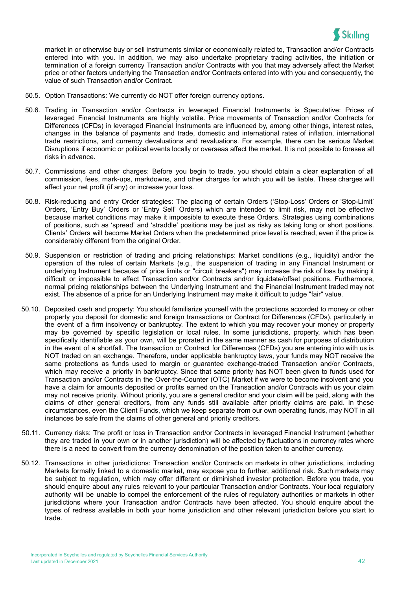

market in or otherwise buy or sell instruments similar or economically related to, Transaction and/or Contracts entered into with you. In addition, we may also undertake proprietary trading activities, the initiation or termination of a foreign currency Transaction and/or Contracts with you that may adversely affect the Market price or other factors underlying the Transaction and/or Contracts entered into with you and consequently, the value of such Transaction and/or Contract.

- 50.5. Option Transactions: We currently do NOT offer foreign currency options.
- 50.6. Trading in Transaction and/or Contracts in leveraged Financial Instruments is Speculative: Prices of leveraged Financial Instruments are highly volatile. Price movements of Transaction and/or Contracts for Differences (CFDs) in leveraged Financial Instruments are influenced by, among other things, interest rates, changes in the balance of payments and trade, domestic and international rates of inflation, international trade restrictions, and currency devaluations and revaluations. For example, there can be serious Market Disruptions if economic or political events locally or overseas affect the market. It is not possible to foresee all risks in advance.
- 50.7. Commissions and other charges: Before you begin to trade, you should obtain a clear explanation of all commission, fees, mark-ups, markdowns, and other charges for which you will be liable. These charges will affect your net profit (if any) or increase your loss.
- 50.8. Risk-reducing and entry Order strategies: The placing of certain Orders ('Stop-Loss' Orders or 'Stop-Limit' Orders, 'Entry Buy' Orders or 'Entry Sell' Orders) which are intended to limit risk, may not be effective because market conditions may make it impossible to execute these Orders. Strategies using combinations of positions, such as 'spread' and 'straddle' positions may be just as risky as taking long or short positions. Clients' Orders will become Market Orders when the predetermined price level is reached, even if the price is considerably different from the original Order.
- 50.9. Suspension or restriction of trading and pricing relationships: Market conditions (e.g., liquidity) and/or the operation of the rules of certain Markets (e.g., the suspension of trading in any Financial Instrument or underlying Instrument because of price limits or "circuit breakers") may increase the risk of loss by making it difficult or impossible to effect Transaction and/or Contracts and/or liquidate/offset positions. Furthermore, normal pricing relationships between the Underlying Instrument and the Financial Instrument traded may not exist. The absence of a price for an Underlying Instrument may make it difficult to judge "fair" value.
- 50.10. Deposited cash and property: You should familiarize yourself with the protections accorded to money or other property you deposit for domestic and foreign transactions or Contract for Differences (CFDs), particularly in the event of a firm insolvency or bankruptcy. The extent to which you may recover your money or property may be governed by specific legislation or local rules. In some jurisdictions, property, which has been specifically identifiable as your own, will be prorated in the same manner as cash for purposes of distribution in the event of a shortfall. The transaction or Contract for Differences (CFDs) you are entering into with us is NOT traded on an exchange. Therefore, under applicable bankruptcy laws, your funds may NOT receive the same protections as funds used to margin or guarantee exchange-traded Transaction and/or Contracts, which may receive a priority in bankruptcy. Since that same priority has NOT been given to funds used for Transaction and/or Contracts in the Over-the-Counter (OTC) Market if we were to become insolvent and you have a claim for amounts deposited or profits earned on the Transaction and/or Contracts with us your claim may not receive priority. Without priority, you are a general creditor and your claim will be paid, along with the claims of other general creditors, from any funds still available after priority claims are paid. In these circumstances, even the Client Funds, which we keep separate from our own operating funds, may NOT in all instances be safe from the claims of other general and priority creditors.
- 50.11. Currency risks: The profit or loss in Transaction and/or Contracts in leveraged Financial Instrument (whether they are traded in your own or in another jurisdiction) will be affected by fluctuations in currency rates where there is a need to convert from the currency denomination of the position taken to another currency.
- 50.12. Transactions in other jurisdictions: Transaction and/or Contracts on markets in other jurisdictions, including Markets formally linked to a domestic market, may expose you to further, additional risk. Such markets may be subject to regulation, which may offer different or diminished investor protection. Before you trade, you should enquire about any rules relevant to your particular Transaction and/or Contracts. Your local regulatory authority will be unable to compel the enforcement of the rules of regulatory authorities or markets in other jurisdictions where your Transaction and/or Contracts have been affected. You should enquire about the types of redress available in both your home jurisdiction and other relevant jurisdiction before you start to trade.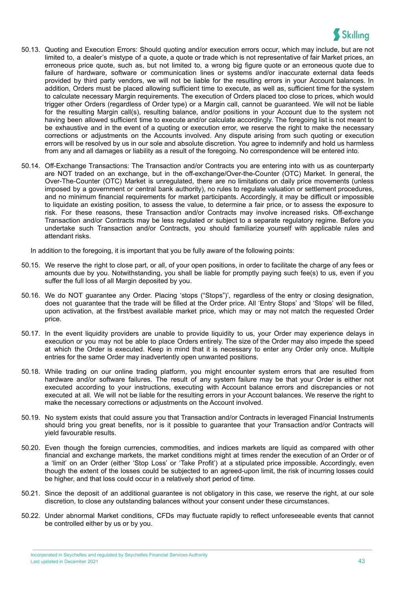

- 50.13. Quoting and Execution Errors: Should quoting and/or execution errors occur, which may include, but are not limited to, a dealer's mistype of a quote, a quote or trade which is not representative of fair Market prices, an erroneous price quote, such as, but not limited to, a wrong big figure quote or an erroneous quote due to failure of hardware, software or communication lines or systems and/or inaccurate external data feeds provided by third party vendors, we will not be liable for the resulting errors in your Account balances. In addition, Orders must be placed allowing sufficient time to execute, as well as, sufficient time for the system to calculate necessary Margin requirements. The execution of Orders placed too close to prices, which would trigger other Orders (regardless of Order type) or a Margin call, cannot be guaranteed. We will not be liable for the resulting Margin call(s), resulting balance, and/or positions in your Account due to the system not having been allowed sufficient time to execute and/or calculate accordingly. The foregoing list is not meant to be exhaustive and in the event of a quoting or execution error, we reserve the right to make the necessary corrections or adjustments on the Accounts involved. Any dispute arising from such quoting or execution errors will be resolved by us in our sole and absolute discretion. You agree to indemnify and hold us harmless from any and all damages or liability as a result of the foregoing. No correspondence will be entered into.
- 50.14. Off-Exchange Transactions: The Transaction and/or Contracts you are entering into with us as counterparty are NOT traded on an exchange, but in the off-exchange/Over-the-Counter (OTC) Market. In general, the Over-The-Counter (OTC) Market is unregulated, there are no limitations on daily price movements (unless imposed by a government or central bank authority), no rules to regulate valuation or settlement procedures, and no minimum financial requirements for market participants. Accordingly, it may be difficult or impossible to liquidate an existing position, to assess the value, to determine a fair price, or to assess the exposure to risk. For these reasons, these Transaction and/or Contracts may involve increased risks. Off-exchange Transaction and/or Contracts may be less regulated or subject to a separate regulatory regime. Before you undertake such Transaction and/or Contracts, you should familiarize yourself with applicable rules and attendant risks.

In addition to the foregoing, it is important that you be fully aware of the following points:

- 50.15. We reserve the right to close part, or all, of your open positions, in order to facilitate the charge of any fees or amounts due by you. Notwithstanding, you shall be liable for promptly paying such fee(s) to us, even if you suffer the full loss of all Margin deposited by you.
- 50.16. We do NOT guarantee any Order. Placing 'stops ("Stops")', regardless of the entry or closing designation, does not guarantee that the trade will be filled at the Order price. All 'Entry Stops' and 'Stops' will be filled, upon activation, at the first/best available market price, which may or may not match the requested Order price.
- 50.17. In the event liquidity providers are unable to provide liquidity to us, your Order may experience delays in execution or you may not be able to place Orders entirely. The size of the Order may also impede the speed at which the Order is executed. Keep in mind that it is necessary to enter any Order only once. Multiple entries for the same Order may inadvertently open unwanted positions.
- 50.18. While trading on our online trading platform, you might encounter system errors that are resulted from hardware and/or software failures. The result of any system failure may be that your Order is either not executed according to your instructions, executing with Account balance errors and discrepancies or not executed at all. We will not be liable for the resulting errors in your Account balances. We reserve the right to make the necessary corrections or adjustments on the Account involved.
- 50.19. No system exists that could assure you that Transaction and/or Contracts in leveraged Financial Instruments should bring you great benefits, nor is it possible to guarantee that your Transaction and/or Contracts will yield favourable results.
- 50.20. Even though the foreign currencies, commodities, and indices markets are liquid as compared with other financial and exchange markets, the market conditions might at times render the execution of an Order or of a 'limit' on an Order (either 'Stop Loss' or 'Take Profit') at a stipulated price impossible. Accordingly, even though the extent of the losses could be subjected to an agreed-upon limit, the risk of incurring losses could be higher, and that loss could occur in a relatively short period of time.
- 50.21. Since the deposit of an additional guarantee is not obligatory in this case, we reserve the right, at our sole discretion, to close any outstanding balances without your consent under these circumstances.
- 50.22. Under abnormal Market conditions, CFDs may fluctuate rapidly to reflect unforeseeable events that cannot be controlled either by us or by you.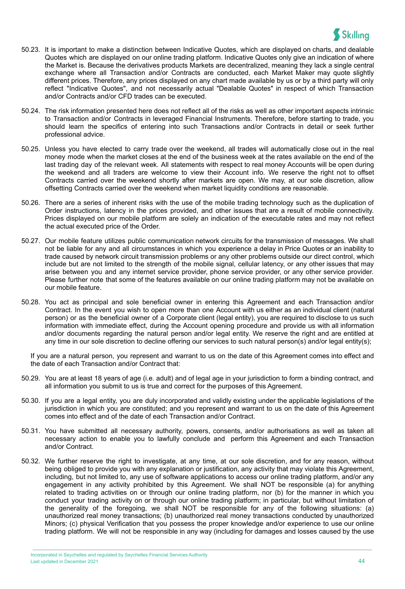

- 50.23. It is important to make a distinction between Indicative Quotes, which are displayed on charts, and dealable Quotes which are displayed on our online trading platform. Indicative Quotes only give an indication of where the Market is. Because the derivatives products Markets are decentralized, meaning they lack a single central exchange where all Transaction and/or Contracts are conducted, each Market Maker may quote slightly different prices. Therefore, any prices displayed on any chart made available by us or by a third party will only reflect "Indicative Quotes", and not necessarily actual "Dealable Quotes" in respect of which Transaction and/or Contracts and/or CFD trades can be executed.
- 50.24. The risk information presented here does not reflect all of the risks as well as other important aspects intrinsic to Transaction and/or Contracts in leveraged Financial Instruments. Therefore, before starting to trade, you should learn the specifics of entering into such Transactions and/or Contracts in detail or seek further professional advice.
- 50.25. Unless you have elected to carry trade over the weekend, all trades will automatically close out in the real money mode when the market closes at the end of the business week at the rates available on the end of the last trading day of the relevant week. All statements with respect to real money Accounts will be open during the weekend and all traders are welcome to view their Account info. We reserve the right not to offset Contracts carried over the weekend shortly after markets are open. We may, at our sole discretion, allow offsetting Contracts carried over the weekend when market liquidity conditions are reasonable.
- 50.26. There are a series of inherent risks with the use of the mobile trading technology such as the duplication of Order instructions, latency in the prices provided, and other issues that are a result of mobile connectivity. Prices displayed on our mobile platform are solely an indication of the executable rates and may not reflect the actual executed price of the Order.
- 50.27. Our mobile feature utilizes public communication network circuits for the transmission of messages. We shall not be liable for any and all circumstances in which you experience a delay in Price Quotes or an inability to trade caused by network circuit transmission problems or any other problems outside our direct control, which include but are not limited to the strength of the mobile signal, cellular latency, or any other issues that may arise between you and any internet service provider, phone service provider, or any other service provider. Please further note that some of the features available on our online trading platform may not be available on our mobile feature.
- 50.28. You act as principal and sole beneficial owner in entering this Agreement and each Transaction and/or Contract. In the event you wish to open more than one Account with us either as an individual client (natural person) or as the beneficial owner of a Corporate client (legal entity), you are required to disclose to us such information with immediate effect, during the Account opening procedure and provide us with all information and/or documents regarding the natural person and/or legal entity. We reserve the right and are entitled at any time in our sole discretion to decline offering our services to such natural person(s) and/or legal entity(s);

If you are a natural person, you represent and warrant to us on the date of this Agreement comes into effect and the date of each Transaction and/or Contract that:

- 50.29. You are at least 18 years of age (i.e. adult) and of legal age in your jurisdiction to form a binding contract, and all information you submit to us is true and correct for the purposes of this Agreement.
- 50.30. If you are a legal entity, you are duly incorporated and validly existing under the applicable legislations of the jurisdiction in which you are constituted; and you represent and warrant to us on the date of this Agreement comes into effect and of the date of each Transaction and/or Contract.
- 50.31. You have submitted all necessary authority, powers, consents, and/or authorisations as well as taken all necessary action to enable you to lawfully conclude and perform this Agreement and each Transaction and/or Contract.
- 50.32. We further reserve the right to investigate, at any time, at our sole discretion, and for any reason, without being obliged to provide you with any explanation or justification, any activity that may violate this Agreement, including, but not limited to, any use of software applications to access our online trading platform, and/or any engagement in any activity prohibited by this Agreement. We shall NOT be responsible (a) for anything related to trading activities on or through our online trading platform, nor (b) for the manner in which you conduct your trading activity on or through our online trading platform; in particular, but without limitation of the generality of the foregoing, we shall NOT be responsible for any of the following situations: (a) unauthorized real money transactions; (b) unauthorized real money transactions conducted by unauthorized Minors; (c) physical Verification that you possess the proper knowledge and/or experience to use our online trading platform. We will not be responsible in any way (including for damages and losses caused by the use

Incorporated in Seychelles and regulated by Seychelles Financial Services Authority Last updated in December 2021 44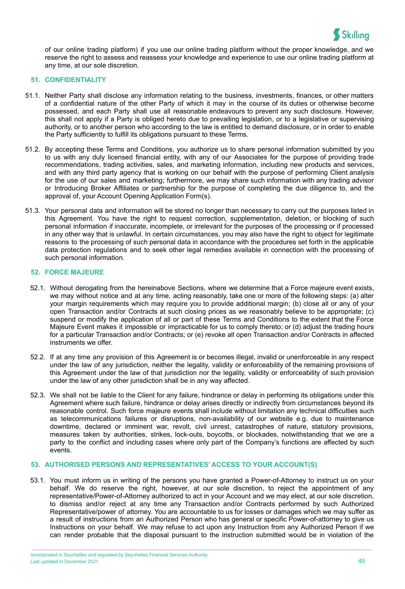

of our online trading platform) if you use our online trading platform without the proper knowledge, and we reserve the right to assess and reassess your knowledge and experience to use our online trading platform at any time, at our sole discretion.

#### **51. CONFIDENTIALITY**

- 51.1. Neither Party shall disclose any information relating to the business, investments, finances, or other matters of a confidential nature of the other Party of which it may in the course of its duties or otherwise become possessed, and each Party shall use all reasonable endeavours to prevent any such disclosure. However, this shall not apply if a Party is obliged hereto due to prevailing legislation, or to a legislative or supervising authority, or to another person who according to the law is entitled to demand disclosure, or in order to enable the Party sufficiently to fulfill its obligations pursuant to these Terms.
- 51.2. By accepting these Terms and Conditions, you authorize us to share personal information submitted by you to us with any duly licensed financial entity, with any of our Associates for the purpose of providing trade recommendations, trading activities, sales, and marketing information, including new products and services, and with any third party agency that is working on our behalf with the purpose of performing Client analysis for the use of our sales and marketing; furthermore, we may share such information with any trading advisor or Introducing Broker Affiliates or partnership for the purpose of completing the due diligence to, and the approval of, your Account Opening Application Form(s).
- 51.3. Your personal data and information will be stored no longer than necessary to carry out the purposes listed in this Agreement. You have the right to request correction, supplementation, deletion, or blocking of such personal information if inaccurate, incomplete, or irrelevant for the purposes of the processing or if processed in any other way that is unlawful. In certain circumstances, you may also have the right to object for legitimate reasons to the processing of such personal data in accordance with the procedures set forth in the applicable data protection regulations and to seek other legal remedies available in connection with the processing of such personal information.

## **52. FORCE MAJEURE**

- 52.1. Without derogating from the hereinabove Sections, where we determine that a Force majeure event exists, we may without notice and at any time, acting reasonably, take one or more of the following steps: (a) alter your margin requirements which may require you to provide additional margin; (b) close all or any of your open Transaction and/or Contracts at such closing prices as we reasonably believe to be appropriate; (c) suspend or modify the application of all or part of these Terms and Conditions to the extent that the Force Majeure Event makes it impossible or impracticable for us to comply thereto; or (d) adjust the trading hours for a particular Transaction and/or Contracts; or (e) revoke all open Transaction and/or Contracts in affected instruments we offer.
- 52.2. If at any time any provision of this Agreement is or becomes illegal, invalid or unenforceable in any respect under the law of any jurisdiction, neither the legality, validity or enforceability of the remaining provisions of this Agreement under the law of that jurisdiction nor the legality, validity or enforceability of such provision under the law of any other jurisdiction shall be in any way affected.
- 52.3. We shall not be liable to the Client for any failure, hindrance or delay in performing its obligations under this Agreement where such failure, hindrance or delay arises directly or indirectly from circumstances beyond its reasonable control. Such force majeure events shall include without limitation any technical difficulties such as telecommunications failures or disruptions, non-availability of our website e.g. due to maintenance downtime, declared or imminent war, revolt, civil unrest, catastrophes of nature, statutory provisions, measures taken by authorities, strikes, lock-outs, boycotts, or blockades, notwithstanding that we are a party to the conflict and including cases where only part of the Company's functions are affected by such events.

## **53. AUTHORISED PERSONS AND REPRESENTATIVES' ACCESS TO YOUR ACCOUNT(S)**

53.1. You must inform us in writing of the persons you have granted a Power-of-Attorney to instruct us on your behalf. We do reserve the right, however, at our sole discretion, to reject the appointment of any representative/Power-of-Attorney authorized to act in your Account and we may elect, at our sole discretion, to dismiss and/or reject at any time any Transaction and/or Contracts performed by such Authorized Representative/power of attorney. You are accountable to us for losses or damages which we may suffer as a result of instructions from an Authorized Person who has general or specific Power-of-attorney to give us Instructions on your behalf. We may refuse to act upon any Instruction from any Authorized Person if we can render probable that the disposal pursuant to the instruction submitted would be in violation of the